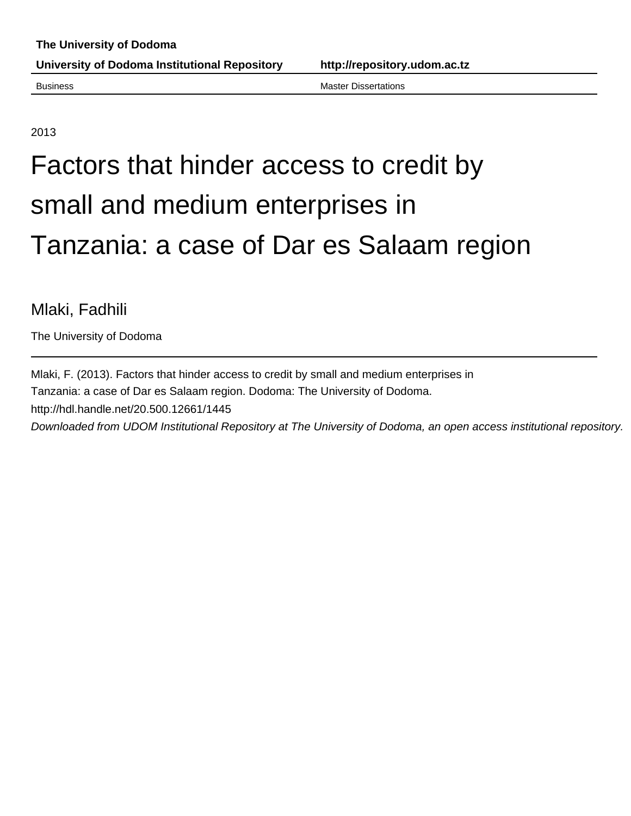Business Master Dissertations

2013

# Factors that hinder access to credit by small and medium enterprises in Tanzania: a case of Dar es Salaam region

# Mlaki, Fadhili

The University of Dodoma

Mlaki, F. (2013). Factors that hinder access to credit by small and medium enterprises in Tanzania: a case of Dar es Salaam region. Dodoma: The University of Dodoma. http://hdl.handle.net/20.500.12661/1445 Downloaded from UDOM Institutional Repository at The University of Dodoma, an open access institutional repository.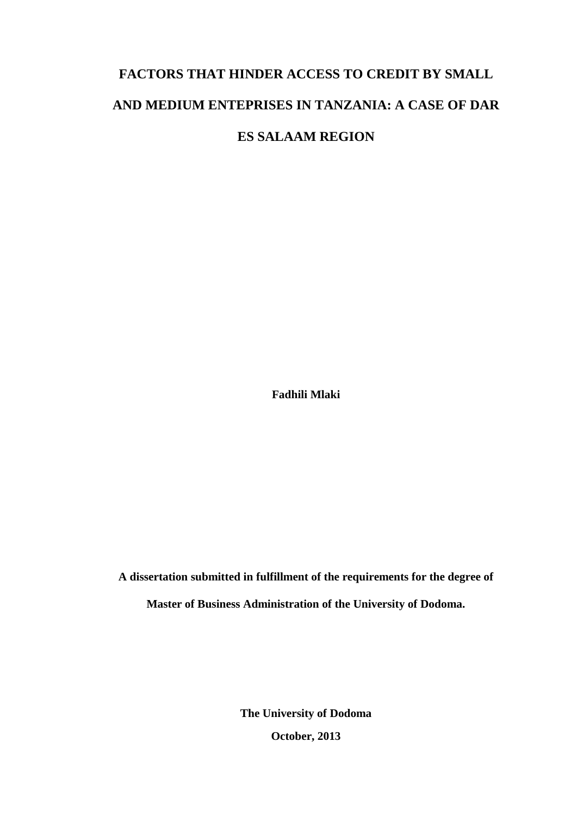# **FACTORS THAT HINDER ACCESS TO CREDIT BY SMALL AND MEDIUM ENTEPRISES IN TANZANIA: A CASE OF DAR ES SALAAM REGION**

**Fadhili Mlaki**

**A dissertation submitted in fulfillment of the requirements for the degree of Master of Business Administration of the University of Dodoma.**

> **The University of Dodoma October, 2013**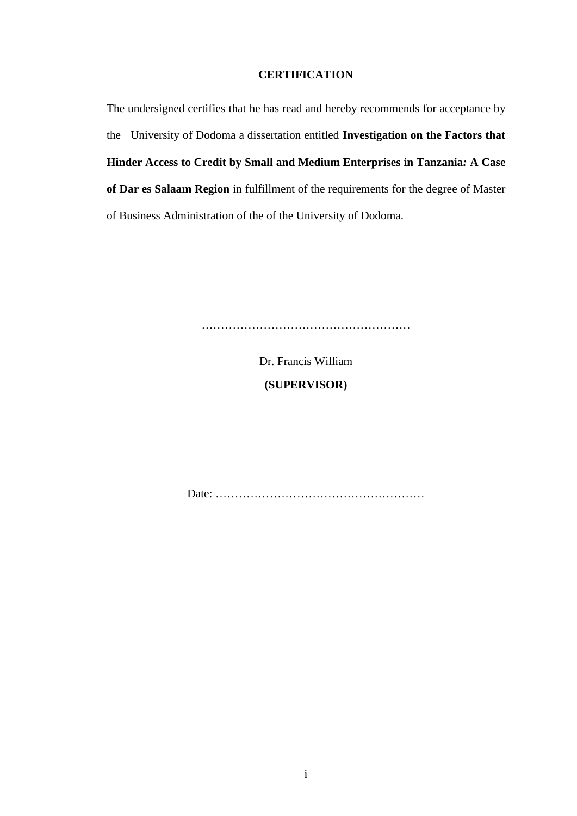#### **CERTIFICATION**

<span id="page-2-0"></span>The undersigned certifies that he has read and hereby recommends for acceptance by the University of Dodoma a dissertation entitled **Investigation on the Factors that Hinder Access to Credit by Small and Medium Enterprises in Tanzania***:* **A Case of Dar es Salaam Region** in fulfillment of the requirements for the degree of Master of Business Administration of the of the University of Dodoma.

………………………………………………

Dr. Francis William **(SUPERVISOR)**

Date: ………………………………………………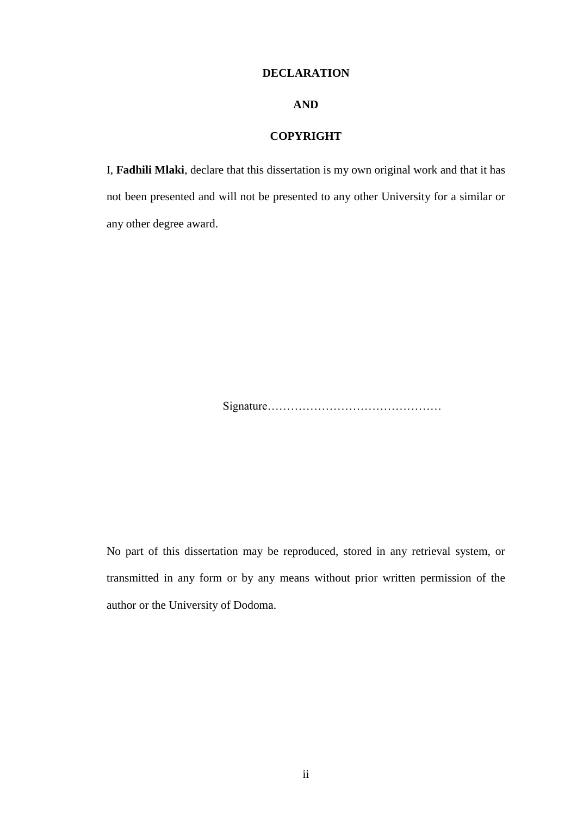#### **DECLARATION**

### **AND**

#### **COPYRIGHT**

<span id="page-3-0"></span>I, **Fadhili Mlaki**, declare that this dissertation is my own original work and that it has not been presented and will not be presented to any other University for a similar or any other degree award.

Signature………………………………………

No part of this dissertation may be reproduced, stored in any retrieval system, or transmitted in any form or by any means without prior written permission of the author or the University of Dodoma.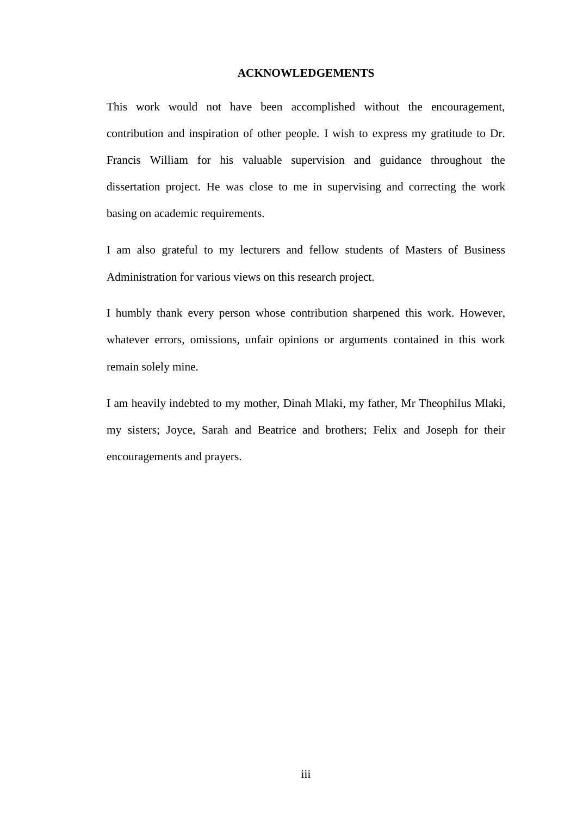#### **ACKNOWLEDGEMENTS**

<span id="page-4-0"></span>This work would not have been accomplished without the encouragement, contribution and inspiration of other people. I wish to express my gratitude to Dr. Francis William for his valuable supervision and guidance throughout the dissertation project. He was close to me in supervising and correcting the work basing on academic requirements.

I am also grateful to my lecturers and fellow students of Masters of Business Administration for various views on this research project.

I humbly thank every person whose contribution sharpened this work. However, whatever errors, omissions, unfair opinions or arguments contained in this work remain solely mine.

I am heavily indebted to my mother, Dinah Mlaki, my father, Mr Theophilus Mlaki, my sisters; Joyce, Sarah and Beatrice and brothers; Felix and Joseph for their encouragements and prayers.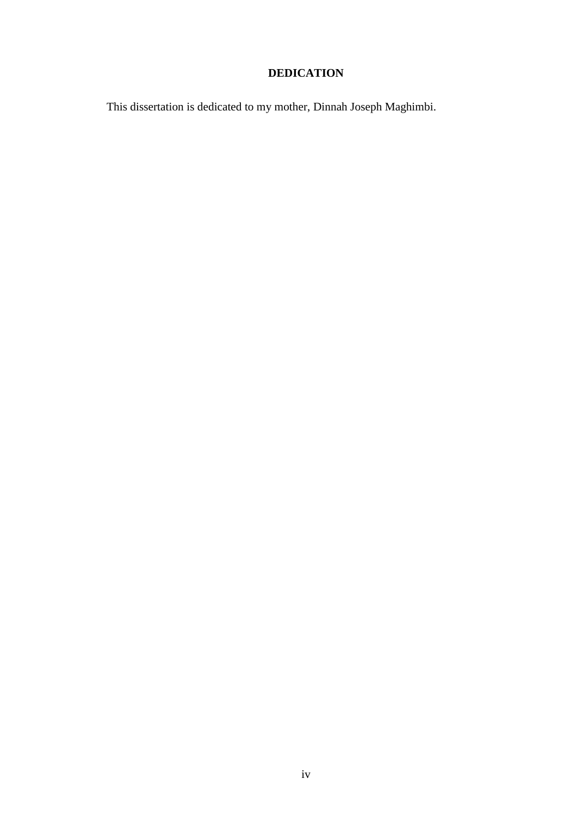# **DEDICATION**

<span id="page-5-0"></span>This dissertation is dedicated to my mother, Dinnah Joseph Maghimbi.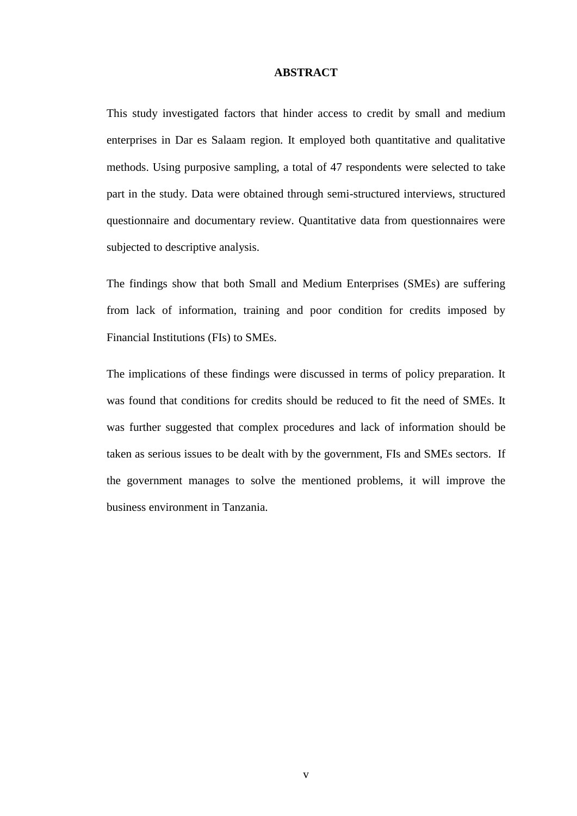#### **ABSTRACT**

<span id="page-6-0"></span>This study investigated factors that hinder access to credit by small and medium enterprises in Dar es Salaam region. It employed both quantitative and qualitative methods. Using purposive sampling, a total of 47 respondents were selected to take part in the study. Data were obtained through semi-structured interviews, structured questionnaire and documentary review. Quantitative data from questionnaires were subjected to descriptive analysis.

The findings show that both Small and Medium Enterprises (SMEs) are suffering from lack of information, training and poor condition for credits imposed by Financial Institutions (FIs) to SMEs.

The implications of these findings were discussed in terms of policy preparation. It was found that conditions for credits should be reduced to fit the need of SMEs. It was further suggested that complex procedures and lack of information should be taken as serious issues to be dealt with by the government, FIs and SMEs sectors. If the government manages to solve the mentioned problems, it will improve the business environment in Tanzania.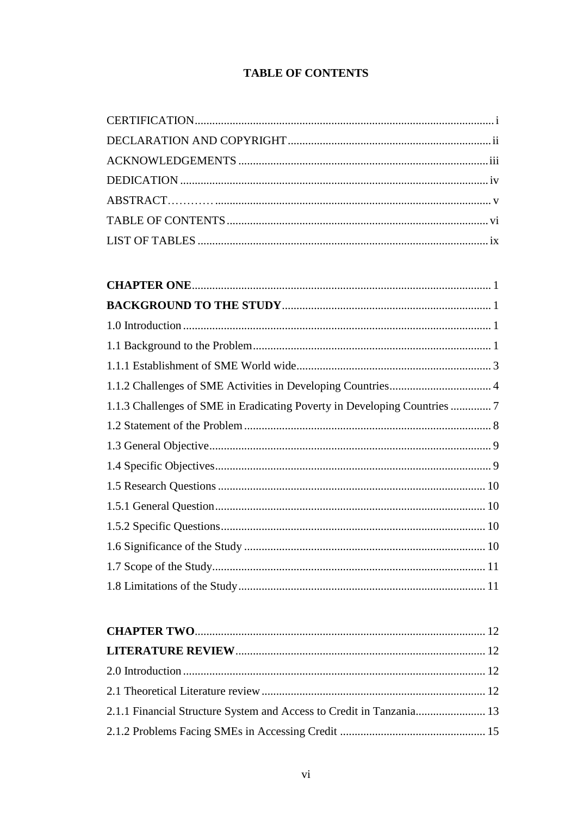# **TABLE OF CONTENTS**

<span id="page-7-0"></span>

| 2.1.1 Financial Structure System and Access to Credit in Tanzania 13 |  |
|----------------------------------------------------------------------|--|
|                                                                      |  |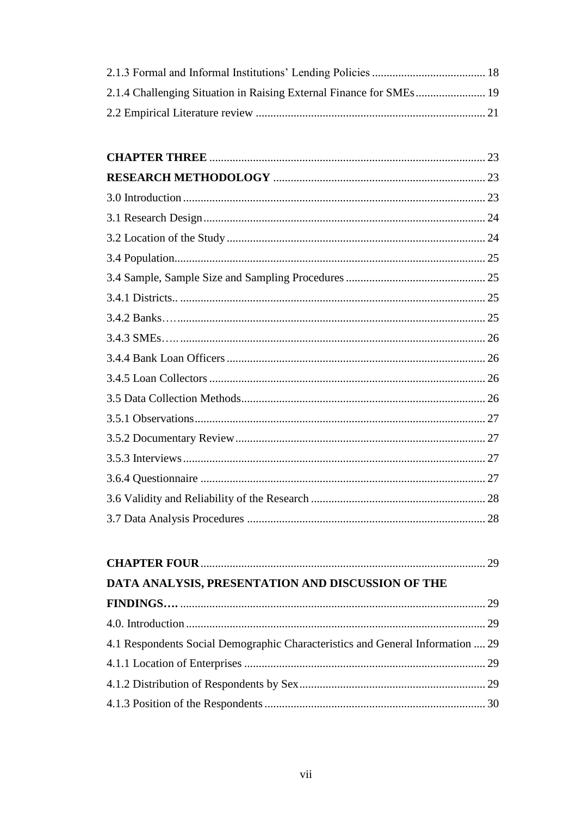| DATA ANALYSIS, PRESENTATION AND DISCUSSION OF THE                              |  |
|--------------------------------------------------------------------------------|--|
|                                                                                |  |
|                                                                                |  |
| 4.1 Respondents Social Demographic Characteristics and General Information  29 |  |
|                                                                                |  |
|                                                                                |  |
|                                                                                |  |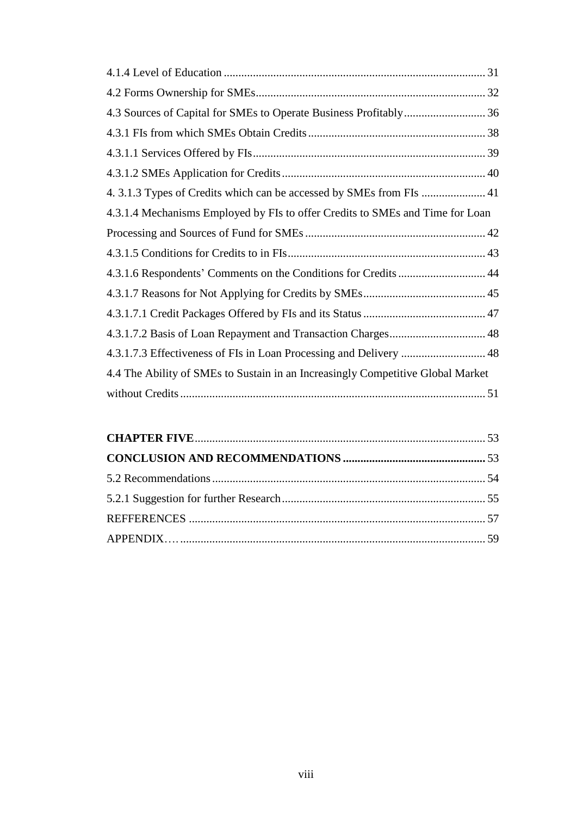| 4.3.1.4 Mechanisms Employed by FIs to offer Credits to SMEs and Time for Loan   |
|---------------------------------------------------------------------------------|
|                                                                                 |
|                                                                                 |
| 4.3.1.6 Respondents' Comments on the Conditions for Credits  44                 |
|                                                                                 |
|                                                                                 |
|                                                                                 |
|                                                                                 |
| 4.4 The Ability of SMEs to Sustain in an Increasingly Competitive Global Market |
|                                                                                 |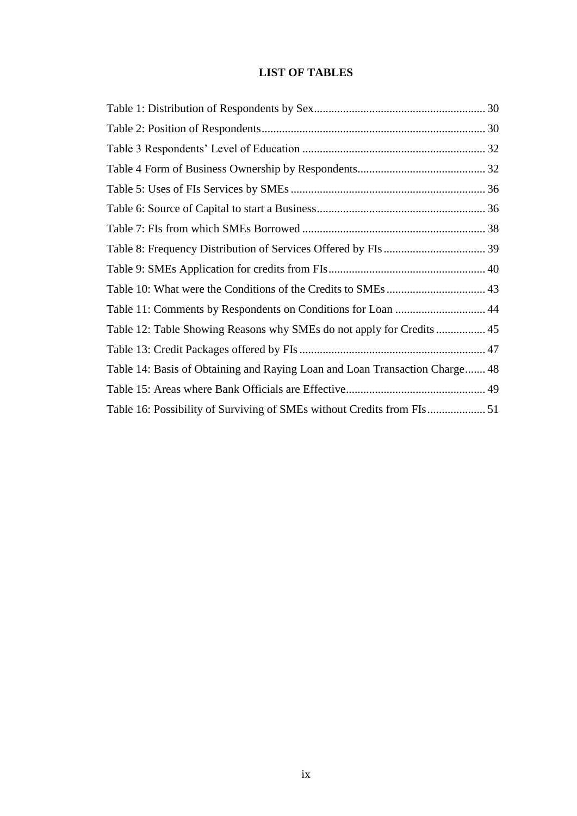## **LIST OF TABLES**

<span id="page-10-0"></span>

| Table 11: Comments by Respondents on Conditions for Loan  44                |  |
|-----------------------------------------------------------------------------|--|
|                                                                             |  |
|                                                                             |  |
| Table 14: Basis of Obtaining and Raying Loan and Loan Transaction Charge 48 |  |
|                                                                             |  |
|                                                                             |  |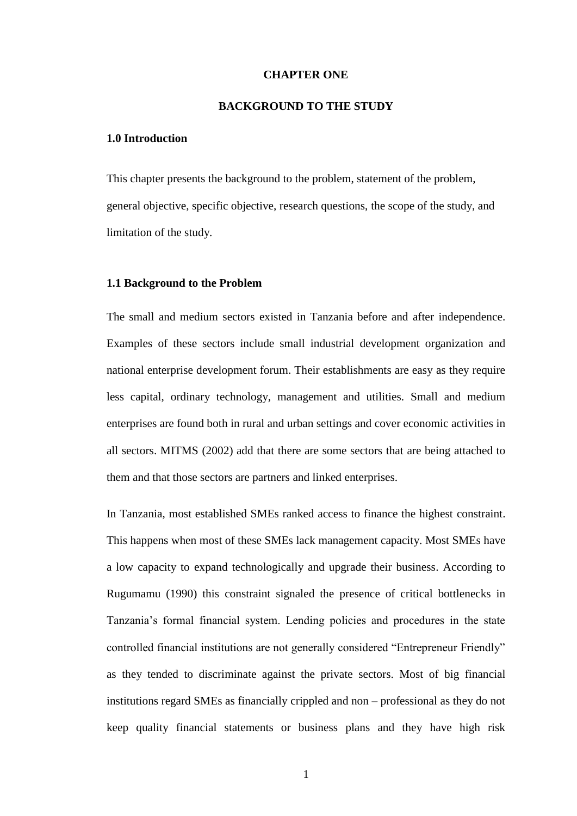#### **CHAPTER ONE**

#### **BACKGROUND TO THE STUDY**

#### <span id="page-11-2"></span><span id="page-11-1"></span><span id="page-11-0"></span>**1.0 Introduction**

This chapter presents the background to the problem, statement of the problem, general objective, specific objective, research questions, the scope of the study, and limitation of the study.

#### <span id="page-11-3"></span>**1.1 Background to the Problem**

The small and medium sectors existed in Tanzania before and after independence. Examples of these sectors include small industrial development organization and national enterprise development forum. Their establishments are easy as they require less capital, ordinary technology, management and utilities. Small and medium enterprises are found both in rural and urban settings and cover economic activities in all sectors. MITMS (2002) add that there are some sectors that are being attached to them and that those sectors are partners and linked enterprises.

In Tanzania, most established SMEs ranked access to finance the highest constraint. This happens when most of these SMEs lack management capacity. Most SMEs have a low capacity to expand technologically and upgrade their business. According to Rugumamu (1990) this constraint signaled the presence of critical bottlenecks in Tanzania's formal financial system. Lending policies and procedures in the state controlled financial institutions are not generally considered "Entrepreneur Friendly" as they tended to discriminate against the private sectors. Most of big financial institutions regard SMEs as financially crippled and non – professional as they do not keep quality financial statements or business plans and they have high risk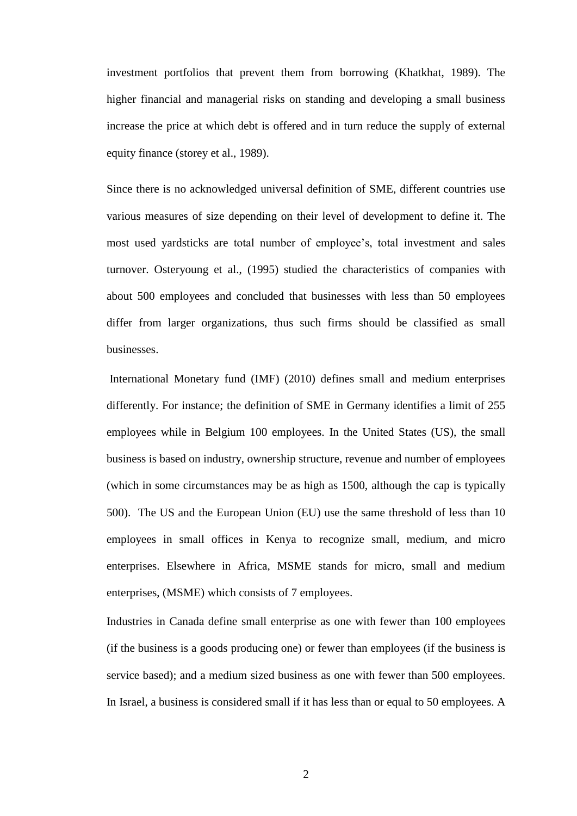investment portfolios that prevent them from borrowing (Khatkhat, 1989). The higher financial and managerial risks on standing and developing a small business increase the price at which debt is offered and in turn reduce the supply of external equity finance (storey et al., 1989).

Since there is no acknowledged universal definition of SME, different countries use various measures of size depending on their level of development to define it. The most used yardsticks are total number of employee's, total investment and sales turnover. Osteryoung et al., (1995) studied the characteristics of companies with about 500 employees and concluded that businesses with less than 50 employees differ from larger organizations, thus such firms should be classified as small businesses.

International Monetary fund (IMF) (2010) defines small and medium enterprises differently. For instance; the definition of SME in Germany identifies a limit of 255 employees while in Belgium 100 employees. In the United States (US), the small business is based on industry, ownership structure, revenue and number of employees (which in some circumstances may be as high as 1500, although the cap is typically 500). The US and the European Union (EU) use the same threshold of less than 10 employees in small offices in Kenya to recognize small, medium, and micro enterprises. Elsewhere in Africa, MSME stands for micro, small and medium enterprises, (MSME) which consists of 7 employees.

Industries in Canada define small enterprise as one with fewer than 100 employees (if the business is a goods producing one) or fewer than employees (if the business is service based); and a medium sized business as one with fewer than 500 employees. In Israel, a business is considered small if it has less than or equal to 50 employees. A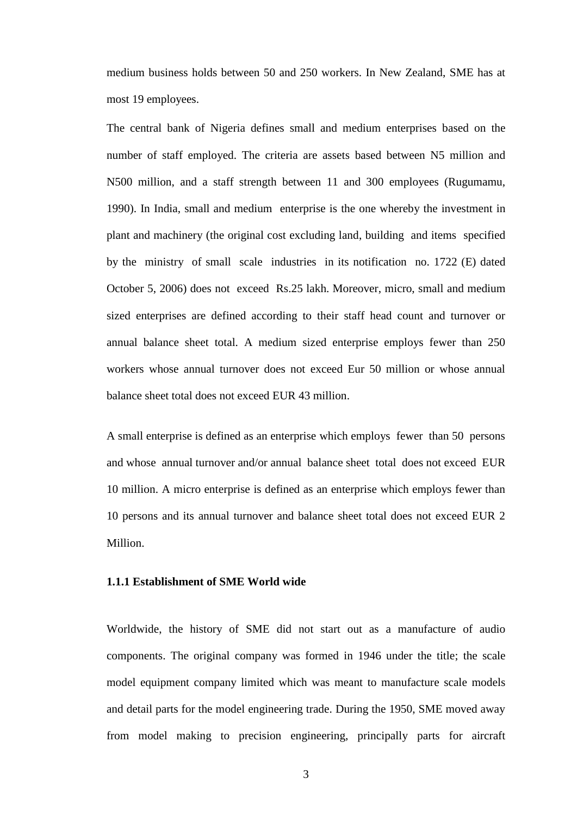medium business holds between 50 and 250 workers. In New Zealand, SME has at most 19 employees.

The central bank of Nigeria defines small and medium enterprises based on the number of staff employed. The criteria are assets based between N5 million and N500 million, and a staff strength between 11 and 300 employees (Rugumamu, 1990). In India, small and medium enterprise is the one whereby the investment in plant and machinery (the original cost excluding land, building and items specified by the ministry of small scale industries in its notification no. 1722 (E) dated October 5, 2006) does not exceed Rs.25 lakh. Moreover, micro, small and medium sized enterprises are defined according to their staff head count and turnover or annual balance sheet total. A medium sized enterprise employs fewer than 250 workers whose annual turnover does not exceed Eur 50 million or whose annual balance sheet total does not exceed EUR 43 million.

A small enterprise is defined as an enterprise which employs fewer than 50 persons and whose annual turnover and/or annual balance sheet total does not exceed EUR 10 million. A micro enterprise is defined as an enterprise which employs fewer than 10 persons and its annual turnover and balance sheet total does not exceed EUR 2 Million.

#### <span id="page-13-0"></span>**1.1.1 Establishment of SME World wide**

Worldwide, the history of SME did not start out as a manufacture of audio components. The original company was formed in 1946 under the title; the scale model equipment company limited which was meant to manufacture scale models and detail parts for the model engineering trade. During the 1950, SME moved away from model making to precision engineering, principally parts for aircraft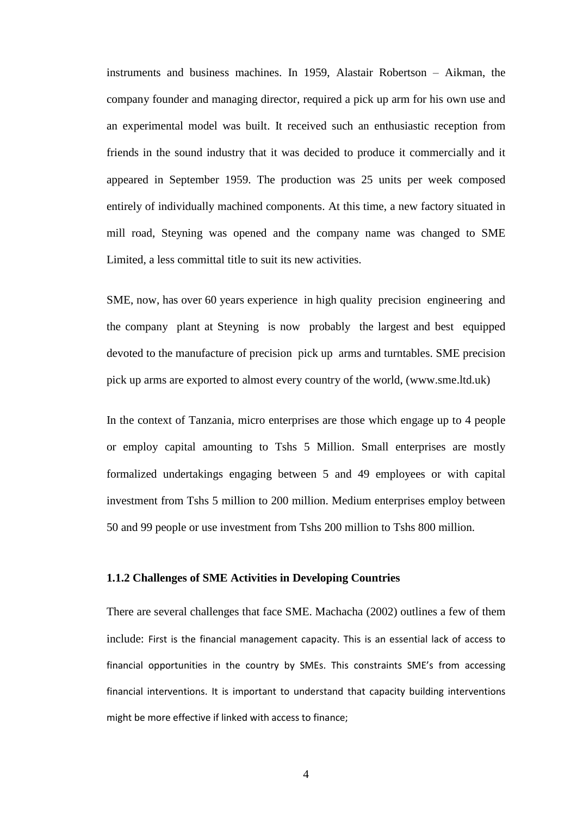instruments and business machines. In 1959, Alastair Robertson – Aikman, the company founder and managing director, required a pick up arm for his own use and an experimental model was built. It received such an enthusiastic reception from friends in the sound industry that it was decided to produce it commercially and it appeared in September 1959. The production was 25 units per week composed entirely of individually machined components. At this time, a new factory situated in mill road, Steyning was opened and the company name was changed to SME Limited, a less committal title to suit its new activities.

SME, now, has over 60 years experience in high quality precision engineering and the company plant at Steyning is now probably the largest and best equipped devoted to the manufacture of precision pick up arms and turntables. SME precision pick up arms are exported to almost every country of the world, (www.sme.ltd.uk)

In the context of Tanzania, micro enterprises are those which engage up to 4 people or employ capital amounting to Tshs 5 Million. Small enterprises are mostly formalized undertakings engaging between 5 and 49 employees or with capital investment from Tshs 5 million to 200 million. Medium enterprises employ between 50 and 99 people or use investment from Tshs 200 million to Tshs 800 million.

#### <span id="page-14-0"></span>**1.1.2 Challenges of SME Activities in Developing Countries**

There are several challenges that face SME. Machacha (2002) outlines a few of them include: First is the financial management capacity. This is an essential lack of access to financial opportunities in the country by SMEs. This constraints SME's from accessing financial interventions. It is important to understand that capacity building interventions might be more effective if linked with access to finance;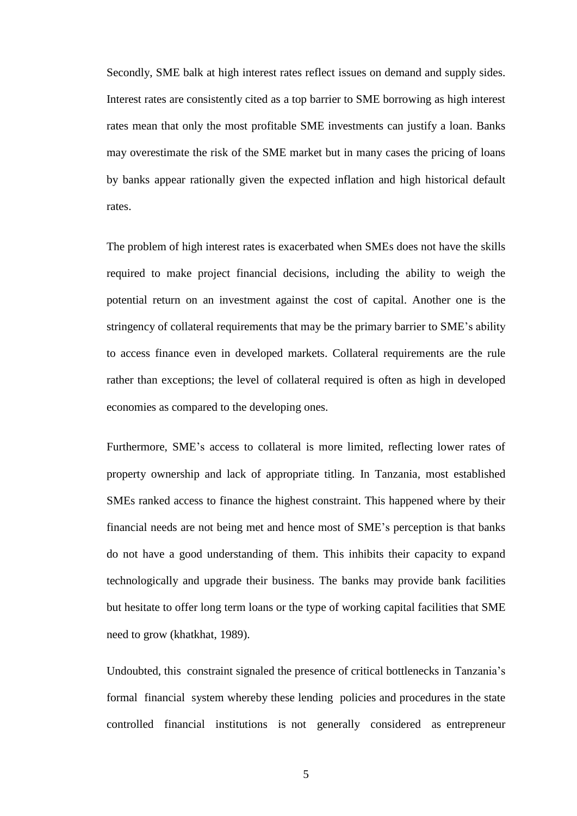Secondly, SME balk at high interest rates reflect issues on demand and supply sides. Interest rates are consistently cited as a top barrier to SME borrowing as high interest rates mean that only the most profitable SME investments can justify a loan. Banks may overestimate the risk of the SME market but in many cases the pricing of loans by banks appear rationally given the expected inflation and high historical default rates.

The problem of high interest rates is exacerbated when SMEs does not have the skills required to make project financial decisions, including the ability to weigh the potential return on an investment against the cost of capital. Another one is the stringency of collateral requirements that may be the primary barrier to SME's ability to access finance even in developed markets. Collateral requirements are the rule rather than exceptions; the level of collateral required is often as high in developed economies as compared to the developing ones.

Furthermore, SME's access to collateral is more limited, reflecting lower rates of property ownership and lack of appropriate titling. In Tanzania, most established SMEs ranked access to finance the highest constraint. This happened where by their financial needs are not being met and hence most of SME's perception is that banks do not have a good understanding of them. This inhibits their capacity to expand technologically and upgrade their business. The banks may provide bank facilities but hesitate to offer long term loans or the type of working capital facilities that SME need to grow (khatkhat, 1989).

Undoubted, this constraint signaled the presence of critical bottlenecks in Tanzania's formal financial system whereby these lending policies and procedures in the state controlled financial institutions is not generally considered as entrepreneur

5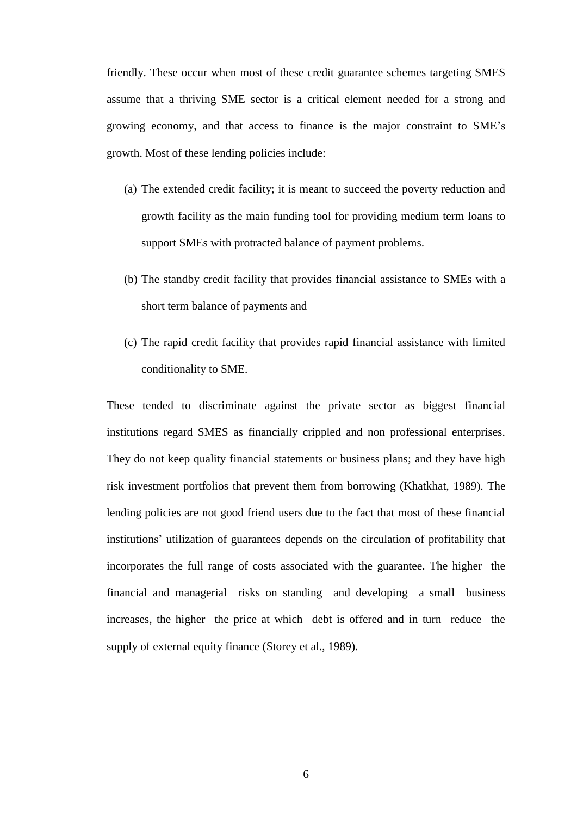friendly. These occur when most of these credit guarantee schemes targeting SMES assume that a thriving SME sector is a critical element needed for a strong and growing economy, and that access to finance is the major constraint to SME's growth. Most of these lending policies include:

- (a) The extended credit facility; it is meant to succeed the poverty reduction and growth facility as the main funding tool for providing medium term loans to support SMEs with protracted balance of payment problems.
- (b) The standby credit facility that provides financial assistance to SMEs with a short term balance of payments and
- (c) The rapid credit facility that provides rapid financial assistance with limited conditionality to SME.

These tended to discriminate against the private sector as biggest financial institutions regard SMES as financially crippled and non professional enterprises. They do not keep quality financial statements or business plans; and they have high risk investment portfolios that prevent them from borrowing (Khatkhat, 1989). The lending policies are not good friend users due to the fact that most of these financial institutions' utilization of guarantees depends on the circulation of profitability that incorporates the full range of costs associated with the guarantee. The higher the financial and managerial risks on standing and developing a small business increases, the higher the price at which debt is offered and in turn reduce the supply of external equity finance (Storey et al., 1989).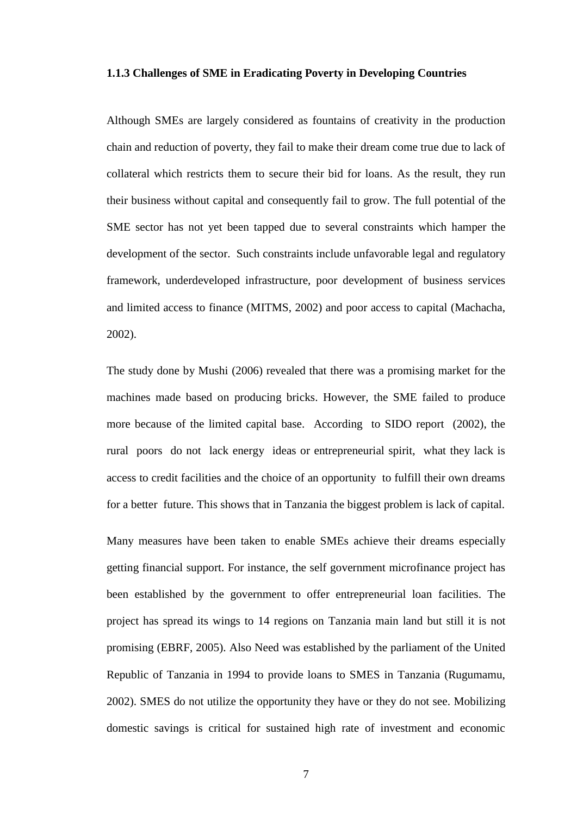#### <span id="page-17-0"></span>**1.1.3 Challenges of SME in Eradicating Poverty in Developing Countries**

Although SMEs are largely considered as fountains of creativity in the production chain and reduction of poverty, they fail to make their dream come true due to lack of collateral which restricts them to secure their bid for loans. As the result, they run their business without capital and consequently fail to grow. The full potential of the SME sector has not yet been tapped due to several constraints which hamper the development of the sector. Such constraints include unfavorable legal and regulatory framework, underdeveloped infrastructure, poor development of business services and limited access to finance (MITMS, 2002) and poor access to capital (Machacha, 2002).

The study done by Mushi (2006) revealed that there was a promising market for the machines made based on producing bricks. However, the SME failed to produce more because of the limited capital base. According to SIDO report (2002), the rural poors do not lack energy ideas or entrepreneurial spirit, what they lack is access to credit facilities and the choice of an opportunity to fulfill their own dreams for a better future. This shows that in Tanzania the biggest problem is lack of capital.

Many measures have been taken to enable SMEs achieve their dreams especially getting financial support. For instance, the self government microfinance project has been established by the government to offer entrepreneurial loan facilities. The project has spread its wings to 14 regions on Tanzania main land but still it is not promising (EBRF, 2005). Also Need was established by the parliament of the United Republic of Tanzania in 1994 to provide loans to SMES in Tanzania (Rugumamu, 2002). SMES do not utilize the opportunity they have or they do not see. Mobilizing domestic savings is critical for sustained high rate of investment and economic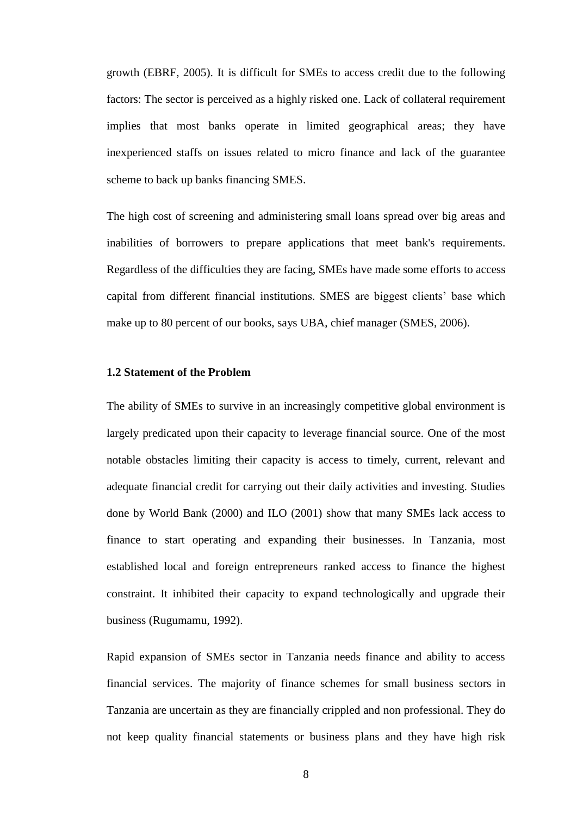growth (EBRF, 2005). It is difficult for SMEs to access credit due to the following factors: The sector is perceived as a highly risked one. Lack of collateral requirement implies that most banks operate in limited geographical areas; they have inexperienced staffs on issues related to micro finance and lack of the guarantee scheme to back up banks financing SMES.

The high cost of screening and administering small loans spread over big areas and inabilities of borrowers to prepare applications that meet bank's requirements. Regardless of the difficulties they are facing, SMEs have made some efforts to access capital from different financial institutions. SMES are biggest clients' base which make up to 80 percent of our books, says UBA, chief manager (SMES, 2006).

#### <span id="page-18-0"></span>**1.2 Statement of the Problem**

The ability of SMEs to survive in an increasingly competitive global environment is largely predicated upon their capacity to leverage financial source. One of the most notable obstacles limiting their capacity is access to timely, current, relevant and adequate financial credit for carrying out their daily activities and investing. Studies done by World Bank (2000) and ILO (2001) show that many SMEs lack access to finance to start operating and expanding their businesses. In Tanzania, most established local and foreign entrepreneurs ranked access to finance the highest constraint. It inhibited their capacity to expand technologically and upgrade their business (Rugumamu, 1992).

Rapid expansion of SMEs sector in Tanzania needs finance and ability to access financial services. The majority of finance schemes for small business sectors in Tanzania are uncertain as they are financially crippled and non professional. They do not keep quality financial statements or business plans and they have high risk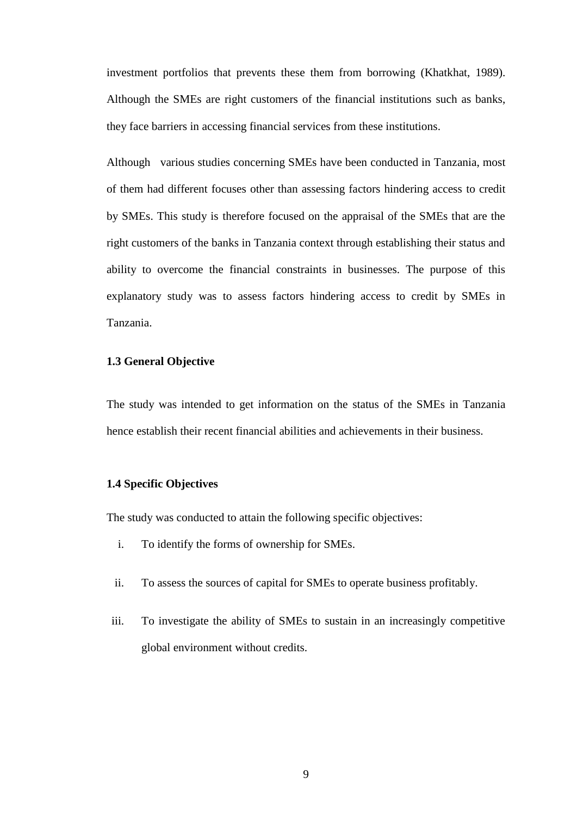investment portfolios that prevents these them from borrowing (Khatkhat, 1989). Although the SMEs are right customers of the financial institutions such as banks, they face barriers in accessing financial services from these institutions.

Although various studies concerning SMEs have been conducted in Tanzania, most of them had different focuses other than assessing factors hindering access to credit by SMEs. This study is therefore focused on the appraisal of the SMEs that are the right customers of the banks in Tanzania context through establishing their status and ability to overcome the financial constraints in businesses. The purpose of this explanatory study was to assess factors hindering access to credit by SMEs in Tanzania.

#### <span id="page-19-0"></span>**1.3 General Objective**

The study was intended to get information on the status of the SMEs in Tanzania hence establish their recent financial abilities and achievements in their business.

#### <span id="page-19-1"></span>**1.4 Specific Objectives**

The study was conducted to attain the following specific objectives:

- i. To identify the forms of ownership for SMEs.
- ii. To assess the sources of capital for SMEs to operate business profitably.
- iii. To investigate the ability of SMEs to sustain in an increasingly competitive global environment without credits.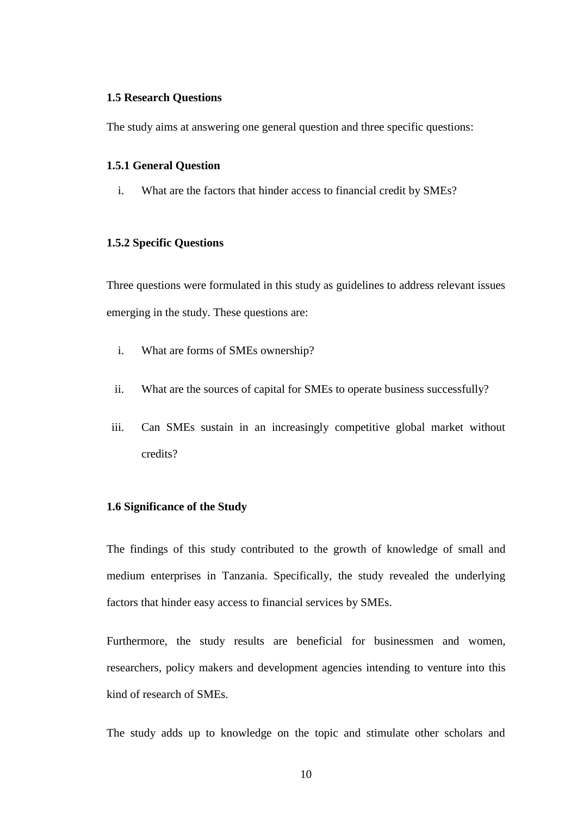#### <span id="page-20-0"></span>**1.5 Research Questions**

The study aims at answering one general question and three specific questions:

#### <span id="page-20-1"></span>**1.5.1 General Question**

i. What are the factors that hinder access to financial credit by SMEs?

#### <span id="page-20-2"></span>**1.5.2 Specific Questions**

Three questions were formulated in this study as guidelines to address relevant issues emerging in the study. These questions are:

- i. What are forms of SMEs ownership?
- ii. What are the sources of capital for SMEs to operate business successfully?
- iii. Can SMEs sustain in an increasingly competitive global market without credits?

#### <span id="page-20-3"></span>**1.6 Significance of the Study**

The findings of this study contributed to the growth of knowledge of small and medium enterprises in Tanzania. Specifically, the study revealed the underlying factors that hinder easy access to financial services by SMEs.

Furthermore, the study results are beneficial for businessmen and women, researchers, policy makers and development agencies intending to venture into this kind of research of SMEs.

The study adds up to knowledge on the topic and stimulate other scholars and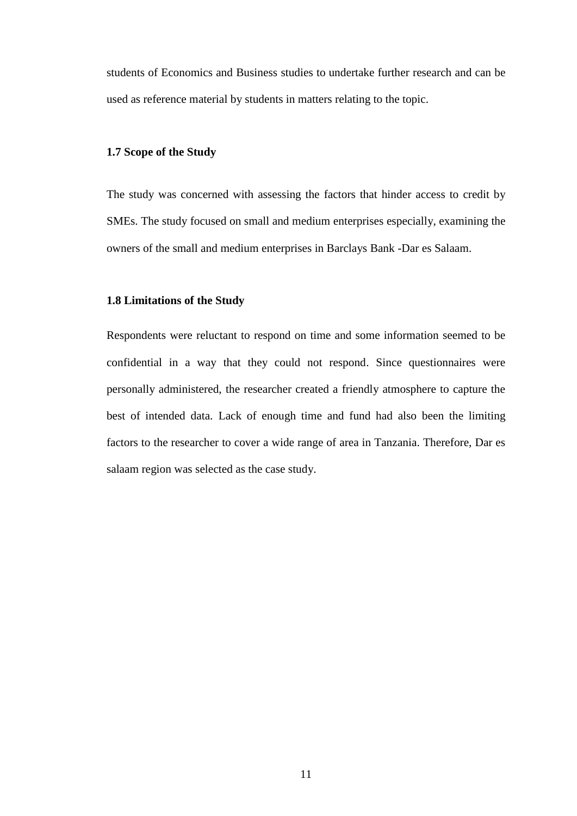students of Economics and Business studies to undertake further research and can be used as reference material by students in matters relating to the topic.

#### <span id="page-21-0"></span>**1.7 Scope of the Study**

The study was concerned with assessing the factors that hinder access to credit by SMEs. The study focused on small and medium enterprises especially, examining the owners of the small and medium enterprises in Barclays Bank -Dar es Salaam.

#### <span id="page-21-1"></span>**1.8 Limitations of the Study**

Respondents were reluctant to respond on time and some information seemed to be confidential in a way that they could not respond. Since questionnaires were personally administered, the researcher created a friendly atmosphere to capture the best of intended data. Lack of enough time and fund had also been the limiting factors to the researcher to cover a wide range of area in Tanzania. Therefore, Dar es salaam region was selected as the case study.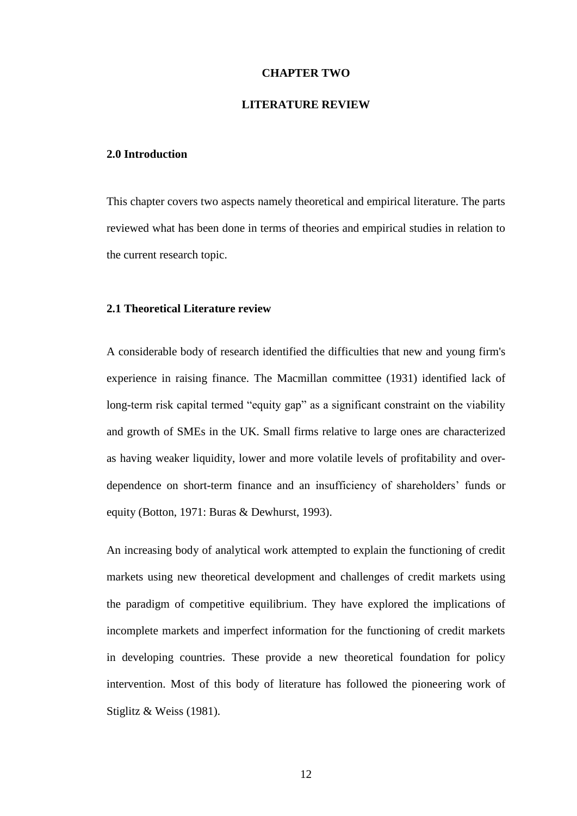#### **CHAPTER TWO**

#### **LITERATURE REVIEW**

#### <span id="page-22-2"></span><span id="page-22-1"></span><span id="page-22-0"></span>**2.0 Introduction**

This chapter covers two aspects namely theoretical and empirical literature. The parts reviewed what has been done in terms of theories and empirical studies in relation to the current research topic.

#### <span id="page-22-3"></span>**2.1 Theoretical Literature review**

A considerable body of research identified the difficulties that new and young firm's experience in raising finance. The Macmillan committee (1931) identified lack of long-term risk capital termed "equity gap" as a significant constraint on the viability and growth of SMEs in the UK. Small firms relative to large ones are characterized as having weaker liquidity, lower and more volatile levels of profitability and overdependence on short-term finance and an insufficiency of shareholders' funds or equity (Botton, 1971: Buras & Dewhurst, 1993).

An increasing body of analytical work attempted to explain the functioning of credit markets using new theoretical development and challenges of credit markets using the paradigm of competitive equilibrium. They have explored the implications of incomplete markets and imperfect information for the functioning of credit markets in developing countries. These provide a new theoretical foundation for policy intervention. Most of this body of literature has followed the pioneering work of Stiglitz & Weiss (1981).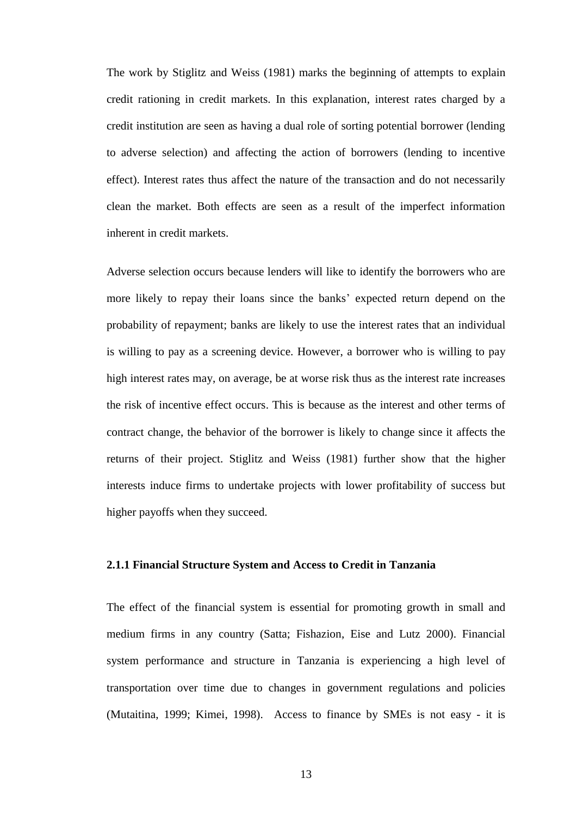The work by Stiglitz and Weiss (1981) marks the beginning of attempts to explain credit rationing in credit markets. In this explanation, interest rates charged by a credit institution are seen as having a dual role of sorting potential borrower (lending to adverse selection) and affecting the action of borrowers (lending to incentive effect). Interest rates thus affect the nature of the transaction and do not necessarily clean the market. Both effects are seen as a result of the imperfect information inherent in credit markets.

Adverse selection occurs because lenders will like to identify the borrowers who are more likely to repay their loans since the banks' expected return depend on the probability of repayment; banks are likely to use the interest rates that an individual is willing to pay as a screening device. However, a borrower who is willing to pay high interest rates may, on average, be at worse risk thus as the interest rate increases the risk of incentive effect occurs. This is because as the interest and other terms of contract change, the behavior of the borrower is likely to change since it affects the returns of their project. Stiglitz and Weiss (1981) further show that the higher interests induce firms to undertake projects with lower profitability of success but higher payoffs when they succeed.

#### <span id="page-23-0"></span>**2.1.1 Financial Structure System and Access to Credit in Tanzania**

The effect of the financial system is essential for promoting growth in small and medium firms in any country (Satta; Fishazion, Eise and Lutz 2000). Financial system performance and structure in Tanzania is experiencing a high level of transportation over time due to changes in government regulations and policies (Mutaitina, 1999; Kimei, 1998). Access to finance by SMEs is not easy - it is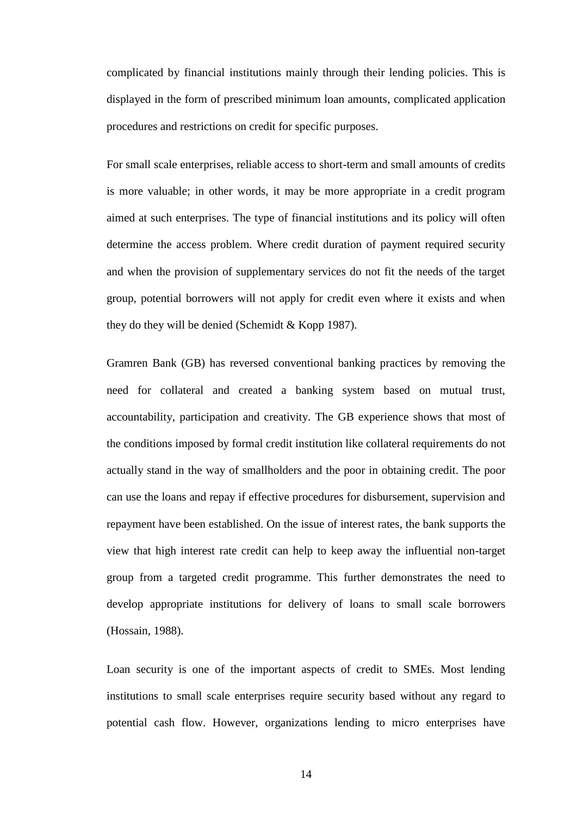complicated by financial institutions mainly through their lending policies. This is displayed in the form of prescribed minimum loan amounts, complicated application procedures and restrictions on credit for specific purposes.

For small scale enterprises, reliable access to short-term and small amounts of credits is more valuable; in other words, it may be more appropriate in a credit program aimed at such enterprises. The type of financial institutions and its policy will often determine the access problem. Where credit duration of payment required security and when the provision of supplementary services do not fit the needs of the target group, potential borrowers will not apply for credit even where it exists and when they do they will be denied (Schemidt & Kopp 1987).

Gramren Bank (GB) has reversed conventional banking practices by removing the need for collateral and created a banking system based on mutual trust, accountability, participation and creativity. The GB experience shows that most of the conditions imposed by formal credit institution like collateral requirements do not actually stand in the way of smallholders and the poor in obtaining credit. The poor can use the loans and repay if effective procedures for disbursement, supervision and repayment have been established. On the issue of interest rates, the bank supports the view that high interest rate credit can help to keep away the influential non-target group from a targeted credit programme. This further demonstrates the need to develop appropriate institutions for delivery of loans to small scale borrowers (Hossain, 1988).

Loan security is one of the important aspects of credit to SMEs. Most lending institutions to small scale enterprises require security based without any regard to potential cash flow. However, organizations lending to micro enterprises have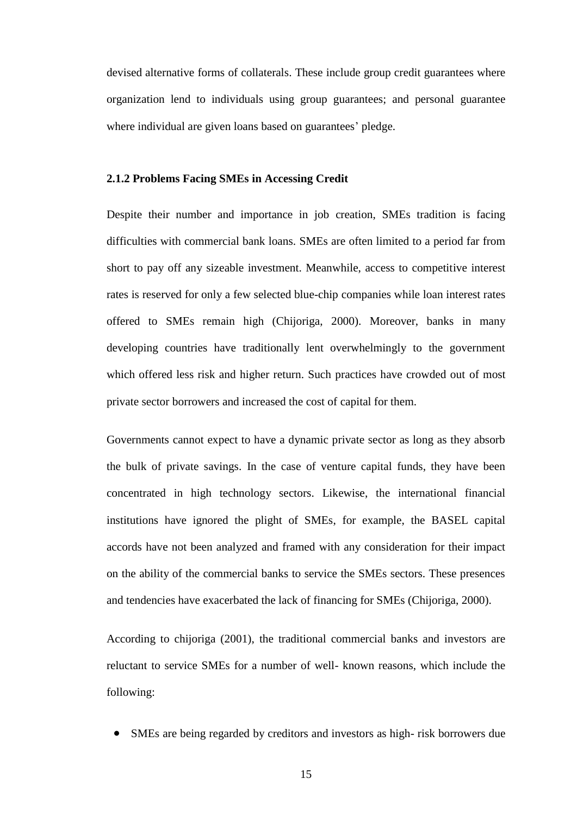devised alternative forms of collaterals. These include group credit guarantees where organization lend to individuals using group guarantees; and personal guarantee where individual are given loans based on guarantees' pledge.

#### <span id="page-25-0"></span>**2.1.2 Problems Facing SMEs in Accessing Credit**

Despite their number and importance in job creation, SMEs tradition is facing difficulties with commercial bank loans. SMEs are often limited to a period far from short to pay off any sizeable investment. Meanwhile, access to competitive interest rates is reserved for only a few selected blue-chip companies while loan interest rates offered to SMEs remain high (Chijoriga, 2000). Moreover, banks in many developing countries have traditionally lent overwhelmingly to the government which offered less risk and higher return. Such practices have crowded out of most private sector borrowers and increased the cost of capital for them.

Governments cannot expect to have a dynamic private sector as long as they absorb the bulk of private savings. In the case of venture capital funds, they have been concentrated in high technology sectors. Likewise, the international financial institutions have ignored the plight of SMEs, for example, the BASEL capital accords have not been analyzed and framed with any consideration for their impact on the ability of the commercial banks to service the SMEs sectors. These presences and tendencies have exacerbated the lack of financing for SMEs (Chijoriga, 2000).

According to chijoriga (2001), the traditional commercial banks and investors are reluctant to service SMEs for a number of well- known reasons, which include the following:

SMEs are being regarded by creditors and investors as high- risk borrowers due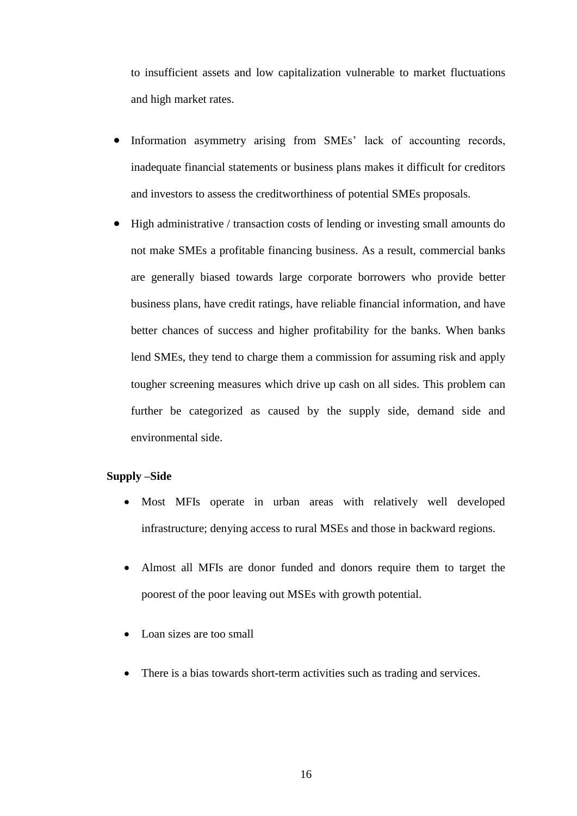to insufficient assets and low capitalization vulnerable to market fluctuations and high market rates.

- Information asymmetry arising from SMEs' lack of accounting records, inadequate financial statements or business plans makes it difficult for creditors and investors to assess the creditworthiness of potential SMEs proposals.
- High administrative / transaction costs of lending or investing small amounts do not make SMEs a profitable financing business. As a result, commercial banks are generally biased towards large corporate borrowers who provide better business plans, have credit ratings, have reliable financial information, and have better chances of success and higher profitability for the banks. When banks lend SMEs, they tend to charge them a commission for assuming risk and apply tougher screening measures which drive up cash on all sides. This problem can further be categorized as caused by the supply side, demand side and environmental side.

#### **Supply –Side**

- Most MFIs operate in urban areas with relatively well developed infrastructure; denying access to rural MSEs and those in backward regions.
- Almost all MFIs are donor funded and donors require them to target the poorest of the poor leaving out MSEs with growth potential.
- Loan sizes are too small
- There is a bias towards short-term activities such as trading and services.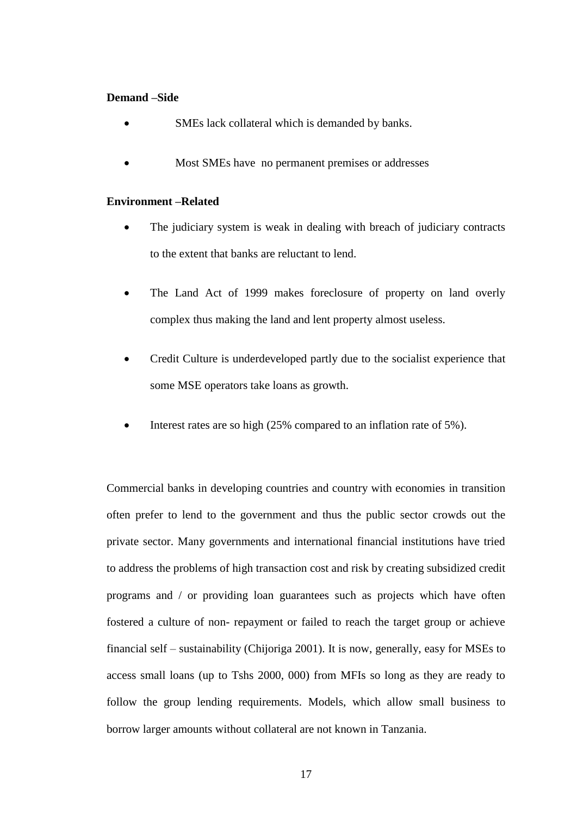#### **Demand –Side**

- SMEs lack collateral which is demanded by banks.
- Most SMEs have no permanent premises or addresses

#### **Environment –Related**

- The judiciary system is weak in dealing with breach of judiciary contracts to the extent that banks are reluctant to lend.
- The Land Act of 1999 makes foreclosure of property on land overly complex thus making the land and lent property almost useless.
- Credit Culture is underdeveloped partly due to the socialist experience that some MSE operators take loans as growth.
- Interest rates are so high (25% compared to an inflation rate of 5%).

Commercial banks in developing countries and country with economies in transition often prefer to lend to the government and thus the public sector crowds out the private sector. Many governments and international financial institutions have tried to address the problems of high transaction cost and risk by creating subsidized credit programs and / or providing loan guarantees such as projects which have often fostered a culture of non- repayment or failed to reach the target group or achieve financial self – sustainability (Chijoriga 2001). It is now, generally, easy for MSEs to access small loans (up to Tshs 2000, 000) from MFIs so long as they are ready to follow the group lending requirements. Models, which allow small business to borrow larger amounts without collateral are not known in Tanzania.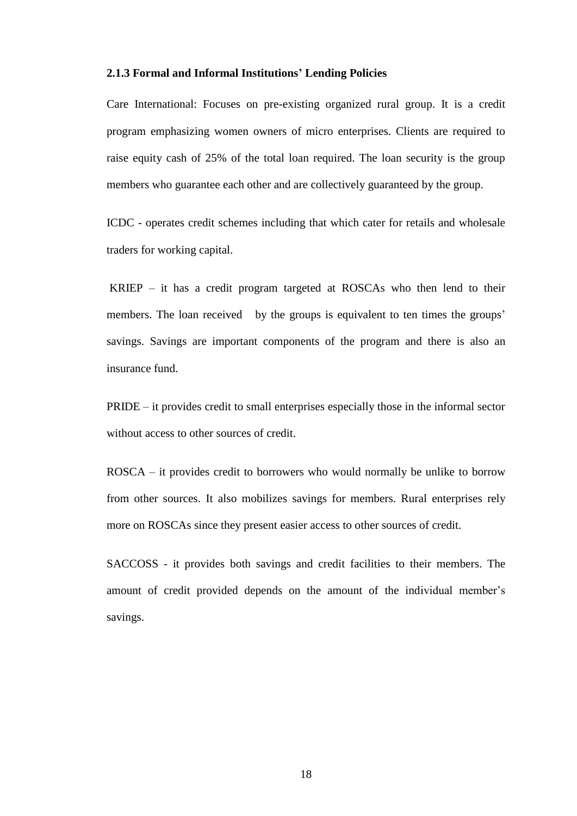#### <span id="page-28-0"></span>**2.1.3 Formal and Informal Institutions' Lending Policies**

Care International: Focuses on pre-existing organized rural group. It is a credit program emphasizing women owners of micro enterprises. Clients are required to raise equity cash of 25% of the total loan required. The loan security is the group members who guarantee each other and are collectively guaranteed by the group.

ICDC - operates credit schemes including that which cater for retails and wholesale traders for working capital.

KRIEP – it has a credit program targeted at ROSCAs who then lend to their members. The loan received by the groups is equivalent to ten times the groups' savings. Savings are important components of the program and there is also an insurance fund.

PRIDE – it provides credit to small enterprises especially those in the informal sector without access to other sources of credit.

ROSCA – it provides credit to borrowers who would normally be unlike to borrow from other sources. It also mobilizes savings for members. Rural enterprises rely more on ROSCAs since they present easier access to other sources of credit.

SACCOSS - it provides both savings and credit facilities to their members. The amount of credit provided depends on the amount of the individual member's savings.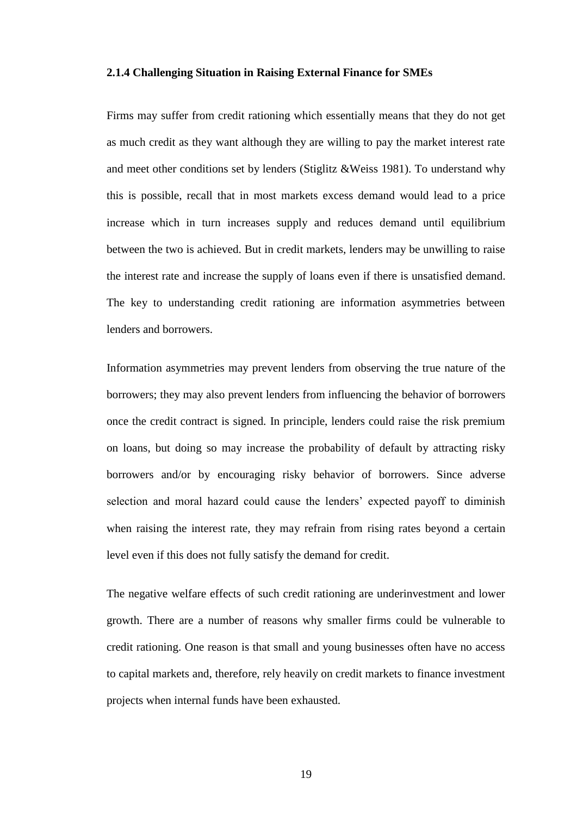#### <span id="page-29-0"></span>**2.1.4 Challenging Situation in Raising External Finance for SMEs**

Firms may suffer from credit rationing which essentially means that they do not get as much credit as they want although they are willing to pay the market interest rate and meet other conditions set by lenders (Stiglitz &Weiss 1981). To understand why this is possible, recall that in most markets excess demand would lead to a price increase which in turn increases supply and reduces demand until equilibrium between the two is achieved. But in credit markets, lenders may be unwilling to raise the interest rate and increase the supply of loans even if there is unsatisfied demand. The key to understanding credit rationing are information asymmetries between lenders and borrowers.

Information asymmetries may prevent lenders from observing the true nature of the borrowers; they may also prevent lenders from influencing the behavior of borrowers once the credit contract is signed. In principle, lenders could raise the risk premium on loans, but doing so may increase the probability of default by attracting risky borrowers and/or by encouraging risky behavior of borrowers. Since adverse selection and moral hazard could cause the lenders' expected payoff to diminish when raising the interest rate, they may refrain from rising rates beyond a certain level even if this does not fully satisfy the demand for credit.

The negative welfare effects of such credit rationing are underinvestment and lower growth. There are a number of reasons why smaller firms could be vulnerable to credit rationing. One reason is that small and young businesses often have no access to capital markets and, therefore, rely heavily on credit markets to finance investment projects when internal funds have been exhausted.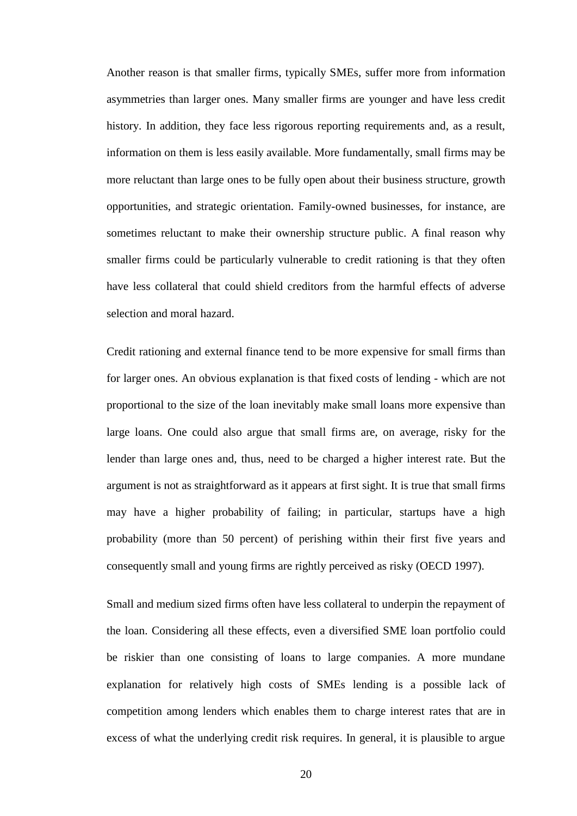Another reason is that smaller firms, typically SMEs, suffer more from information asymmetries than larger ones. Many smaller firms are younger and have less credit history. In addition, they face less rigorous reporting requirements and, as a result, information on them is less easily available. More fundamentally, small firms may be more reluctant than large ones to be fully open about their business structure, growth opportunities, and strategic orientation. Family-owned businesses, for instance, are sometimes reluctant to make their ownership structure public. A final reason why smaller firms could be particularly vulnerable to credit rationing is that they often have less collateral that could shield creditors from the harmful effects of adverse selection and moral hazard.

Credit rationing and external finance tend to be more expensive for small firms than for larger ones. An obvious explanation is that fixed costs of lending - which are not proportional to the size of the loan inevitably make small loans more expensive than large loans. One could also argue that small firms are, on average, risky for the lender than large ones and, thus, need to be charged a higher interest rate. But the argument is not as straightforward as it appears at first sight. It is true that small firms may have a higher probability of failing; in particular, startups have a high probability (more than 50 percent) of perishing within their first five years and consequently small and young firms are rightly perceived as risky (OECD 1997).

Small and medium sized firms often have less collateral to underpin the repayment of the loan. Considering all these effects, even a diversified SME loan portfolio could be riskier than one consisting of loans to large companies. A more mundane explanation for relatively high costs of SMEs lending is a possible lack of competition among lenders which enables them to charge interest rates that are in excess of what the underlying credit risk requires. In general, it is plausible to argue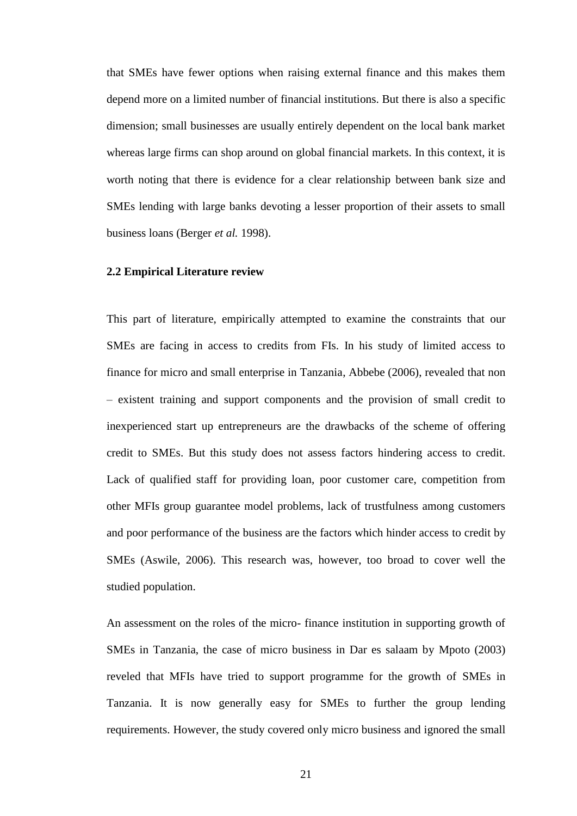that SMEs have fewer options when raising external finance and this makes them depend more on a limited number of financial institutions. But there is also a specific dimension; small businesses are usually entirely dependent on the local bank market whereas large firms can shop around on global financial markets. In this context, it is worth noting that there is evidence for a clear relationship between bank size and SMEs lending with large banks devoting a lesser proportion of their assets to small business loans (Berger *et al.* 1998).

#### <span id="page-31-0"></span>**2.2 Empirical Literature review**

This part of literature, empirically attempted to examine the constraints that our SMEs are facing in access to credits from FIs. In his study of limited access to finance for micro and small enterprise in Tanzania, Abbebe (2006), revealed that non – existent training and support components and the provision of small credit to inexperienced start up entrepreneurs are the drawbacks of the scheme of offering credit to SMEs. But this study does not assess factors hindering access to credit. Lack of qualified staff for providing loan, poor customer care, competition from other MFIs group guarantee model problems, lack of trustfulness among customers and poor performance of the business are the factors which hinder access to credit by SMEs (Aswile, 2006). This research was, however, too broad to cover well the studied population.

An assessment on the roles of the micro- finance institution in supporting growth of SMEs in Tanzania, the case of micro business in Dar es salaam by Mpoto (2003) reveled that MFIs have tried to support programme for the growth of SMEs in Tanzania. It is now generally easy for SMEs to further the group lending requirements. However, the study covered only micro business and ignored the small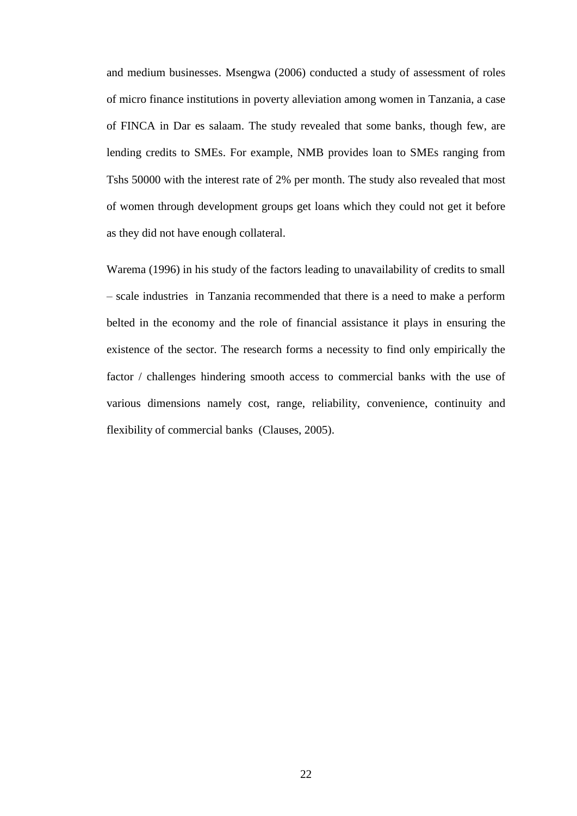and medium businesses. Msengwa (2006) conducted a study of assessment of roles of micro finance institutions in poverty alleviation among women in Tanzania, a case of FINCA in Dar es salaam. The study revealed that some banks, though few, are lending credits to SMEs. For example, NMB provides loan to SMEs ranging from Tshs 50000 with the interest rate of 2% per month. The study also revealed that most of women through development groups get loans which they could not get it before as they did not have enough collateral.

Warema (1996) in his study of the factors leading to unavailability of credits to small – scale industries in Tanzania recommended that there is a need to make a perform belted in the economy and the role of financial assistance it plays in ensuring the existence of the sector. The research forms a necessity to find only empirically the factor / challenges hindering smooth access to commercial banks with the use of various dimensions namely cost, range, reliability, convenience, continuity and flexibility of commercial banks (Clauses, 2005).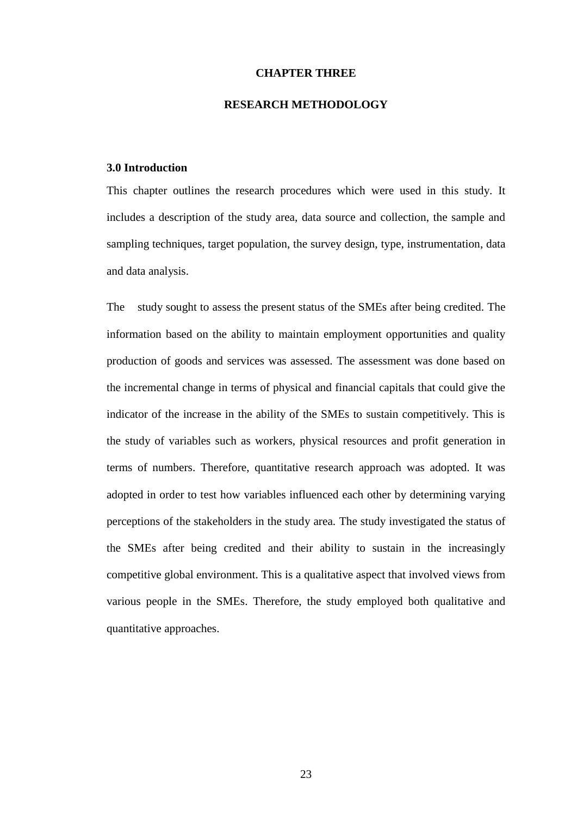#### **CHAPTER THREE**

#### **RESEARCH METHODOLOGY**

#### <span id="page-33-2"></span><span id="page-33-1"></span><span id="page-33-0"></span>**3.0 Introduction**

This chapter outlines the research procedures which were used in this study. It includes a description of the study area, data source and collection, the sample and sampling techniques, target population, the survey design, type, instrumentation, data and data analysis.

The study sought to assess the present status of the SMEs after being credited. The information based on the ability to maintain employment opportunities and quality production of goods and services was assessed. The assessment was done based on the incremental change in terms of physical and financial capitals that could give the indicator of the increase in the ability of the SMEs to sustain competitively. This is the study of variables such as workers, physical resources and profit generation in terms of numbers. Therefore, quantitative research approach was adopted. It was adopted in order to test how variables influenced each other by determining varying perceptions of the stakeholders in the study area. The study investigated the status of the SMEs after being credited and their ability to sustain in the increasingly competitive global environment. This is a qualitative aspect that involved views from various people in the SMEs. Therefore, the study employed both qualitative and quantitative approaches.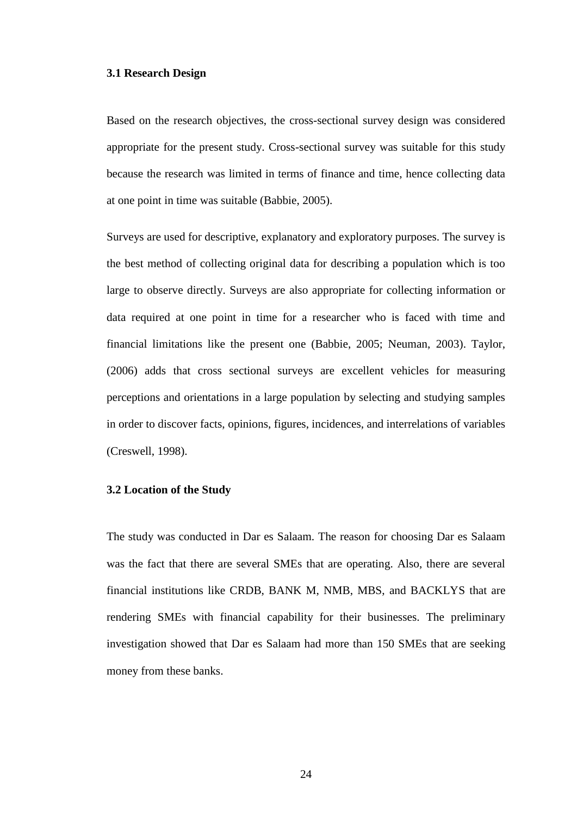#### <span id="page-34-0"></span>**3.1 Research Design**

Based on the research objectives, the cross-sectional survey design was considered appropriate for the present study. Cross-sectional survey was suitable for this study because the research was limited in terms of finance and time, hence collecting data at one point in time was suitable (Babbie, 2005).

Surveys are used for descriptive, explanatory and exploratory purposes. The survey is the best method of collecting original data for describing a population which is too large to observe directly. Surveys are also appropriate for collecting information or data required at one point in time for a researcher who is faced with time and financial limitations like the present one (Babbie, 2005; Neuman, 2003). Taylor, (2006) adds that cross sectional surveys are excellent vehicles for measuring perceptions and orientations in a large population by selecting and studying samples in order to discover facts, opinions, figures, incidences, and interrelations of variables (Creswell, 1998).

#### <span id="page-34-1"></span>**3.2 Location of the Study**

The study was conducted in Dar es Salaam. The reason for choosing Dar es Salaam was the fact that there are several SMEs that are operating. Also, there are several financial institutions like CRDB, BANK M, NMB, MBS, and BACKLYS that are rendering SMEs with financial capability for their businesses. The preliminary investigation showed that Dar es Salaam had more than 150 SMEs that are seeking money from these banks.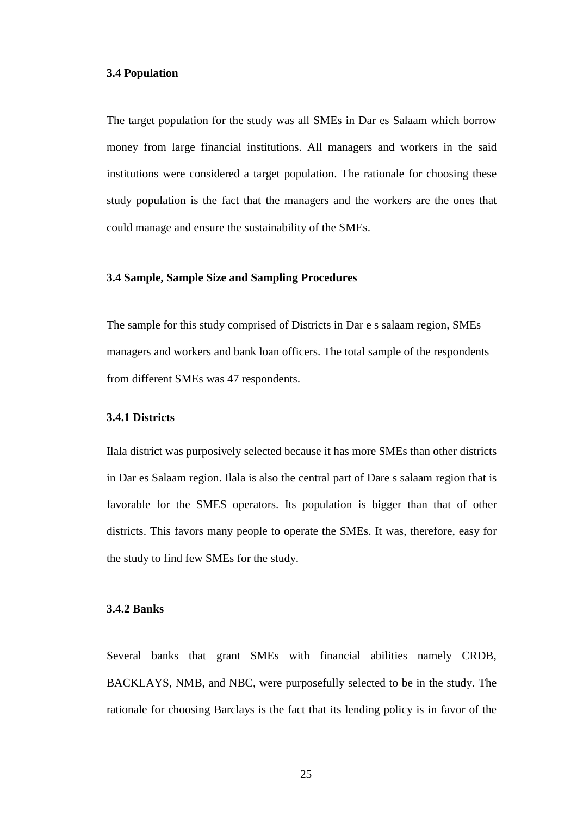#### <span id="page-35-0"></span>**3.4 Population**

The target population for the study was all SMEs in Dar es Salaam which borrow money from large financial institutions. All managers and workers in the said institutions were considered a target population. The rationale for choosing these study population is the fact that the managers and the workers are the ones that could manage and ensure the sustainability of the SMEs.

#### <span id="page-35-1"></span>**3.4 Sample, Sample Size and Sampling Procedures**

The sample for this study comprised of Districts in Dar e s salaam region, SMEs managers and workers and bank loan officers. The total sample of the respondents from different SMEs was 47 respondents.

#### <span id="page-35-2"></span>**3.4.1 Districts**

Ilala district was purposively selected because it has more SMEs than other districts in Dar es Salaam region. Ilala is also the central part of Dare s salaam region that is favorable for the SMES operators. Its population is bigger than that of other districts. This favors many people to operate the SMEs. It was, therefore, easy for the study to find few SMEs for the study.

#### <span id="page-35-3"></span>**3.4.2 Banks**

Several banks that grant SMEs with financial abilities namely CRDB, BACKLAYS, NMB, and NBC, were purposefully selected to be in the study. The rationale for choosing Barclays is the fact that its lending policy is in favor of the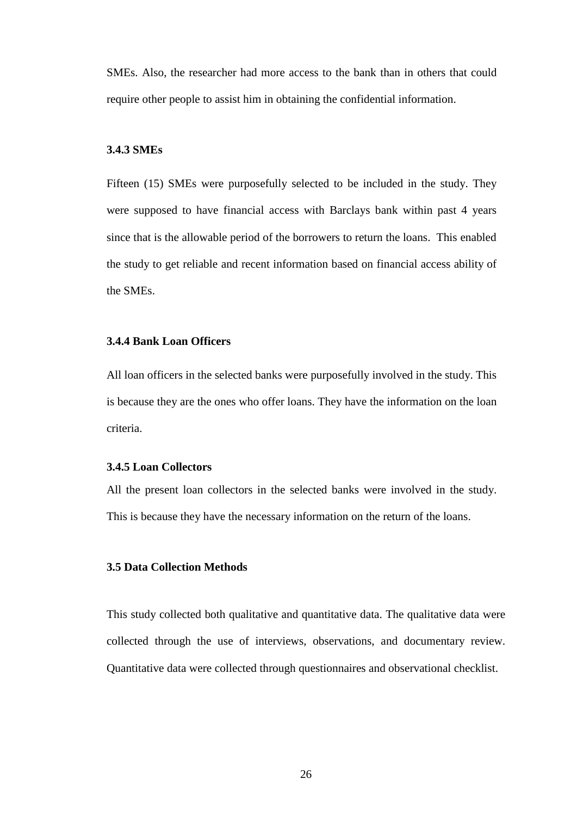SMEs. Also, the researcher had more access to the bank than in others that could require other people to assist him in obtaining the confidential information.

#### **3.4.3 SMEs**

Fifteen (15) SMEs were purposefully selected to be included in the study. They were supposed to have financial access with Barclays bank within past 4 years since that is the allowable period of the borrowers to return the loans. This enabled the study to get reliable and recent information based on financial access ability of the SMEs.

#### **3.4.4 Bank Loan Officers**

All loan officers in the selected banks were purposefully involved in the study. This is because they are the ones who offer loans. They have the information on the loan criteria.

# **3.4.5 Loan Collectors**

All the present loan collectors in the selected banks were involved in the study. This is because they have the necessary information on the return of the loans.

# **3.5 Data Collection Methods**

This study collected both qualitative and quantitative data. The qualitative data were collected through the use of interviews, observations, and documentary review. Quantitative data were collected through questionnaires and observational checklist.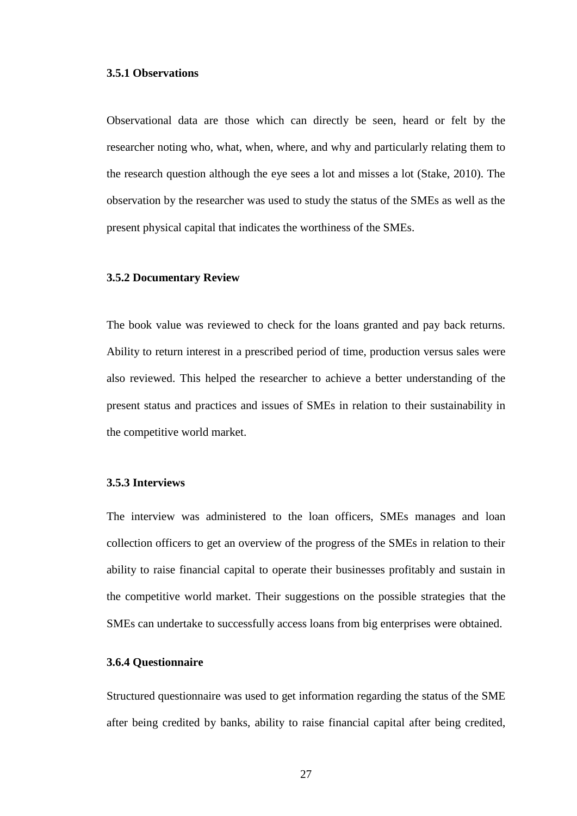#### **3.5.1 Observations**

Observational data are those which can directly be seen, heard or felt by the researcher noting who, what, when, where, and why and particularly relating them to the research question although the eye sees a lot and misses a lot (Stake, 2010). The observation by the researcher was used to study the status of the SMEs as well as the present physical capital that indicates the worthiness of the SMEs.

#### **3.5.2 Documentary Review**

The book value was reviewed to check for the loans granted and pay back returns. Ability to return interest in a prescribed period of time, production versus sales were also reviewed. This helped the researcher to achieve a better understanding of the present status and practices and issues of SMEs in relation to their sustainability in the competitive world market.

# **3.5.3 Interviews**

The interview was administered to the loan officers, SMEs manages and loan collection officers to get an overview of the progress of the SMEs in relation to their ability to raise financial capital to operate their businesses profitably and sustain in the competitive world market. Their suggestions on the possible strategies that the SMEs can undertake to successfully access loans from big enterprises were obtained.

# **3.6.4 Questionnaire**

Structured questionnaire was used to get information regarding the status of the SME after being credited by banks, ability to raise financial capital after being credited,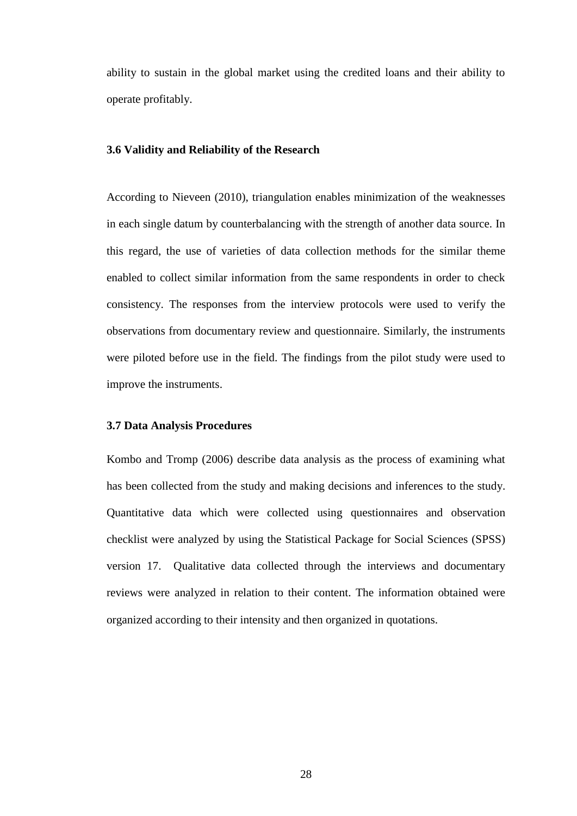ability to sustain in the global market using the credited loans and their ability to operate profitably.

#### **3.6 Validity and Reliability of the Research**

According to Nieveen (2010), triangulation enables minimization of the weaknesses in each single datum by counterbalancing with the strength of another data source. In this regard, the use of varieties of data collection methods for the similar theme enabled to collect similar information from the same respondents in order to check consistency. The responses from the interview protocols were used to verify the observations from documentary review and questionnaire. Similarly, the instruments were piloted before use in the field. The findings from the pilot study were used to improve the instruments.

#### **3.7 Data Analysis Procedures**

Kombo and Tromp (2006) describe data analysis as the process of examining what has been collected from the study and making decisions and inferences to the study. Quantitative data which were collected using questionnaires and observation checklist were analyzed by using the Statistical Package for Social Sciences (SPSS) version 17. Qualitative data collected through the interviews and documentary reviews were analyzed in relation to their content. The information obtained were organized according to their intensity and then organized in quotations.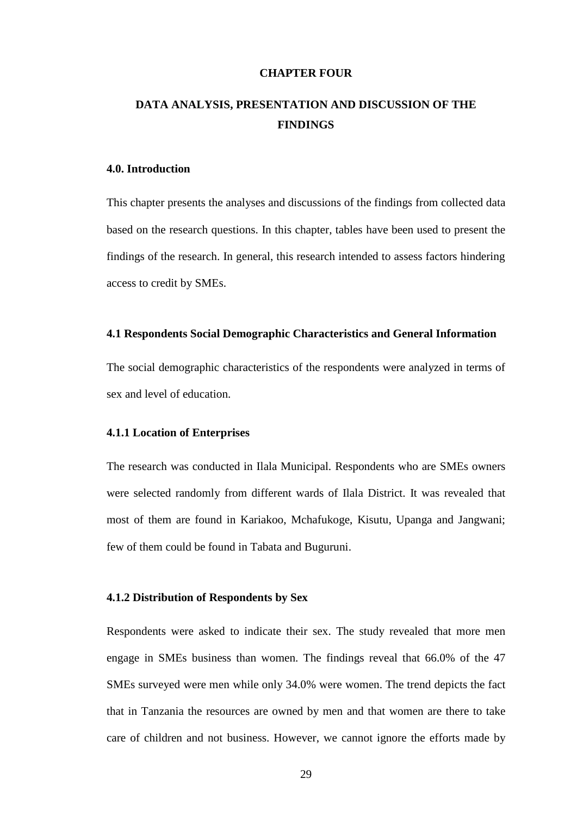#### **CHAPTER FOUR**

# **DATA ANALYSIS, PRESENTATION AND DISCUSSION OF THE FINDINGS**

#### **4.0. Introduction**

This chapter presents the analyses and discussions of the findings from collected data based on the research questions. In this chapter, tables have been used to present the findings of the research. In general, this research intended to assess factors hindering access to credit by SMEs.

# **4.1 Respondents Social Demographic Characteristics and General Information**

The social demographic characteristics of the respondents were analyzed in terms of sex and level of education.

#### **4.1.1 Location of Enterprises**

The research was conducted in Ilala Municipal. Respondents who are SMEs owners were selected randomly from different wards of Ilala District. It was revealed that most of them are found in Kariakoo, Mchafukoge, Kisutu, Upanga and Jangwani; few of them could be found in Tabata and Buguruni.

#### **4.1.2 Distribution of Respondents by Sex**

Respondents were asked to indicate their sex. The study revealed that more men engage in SMEs business than women. The findings reveal that 66.0% of the 47 SMEs surveyed were men while only 34.0% were women. The trend depicts the fact that in Tanzania the resources are owned by men and that women are there to take care of children and not business. However, we cannot ignore the efforts made by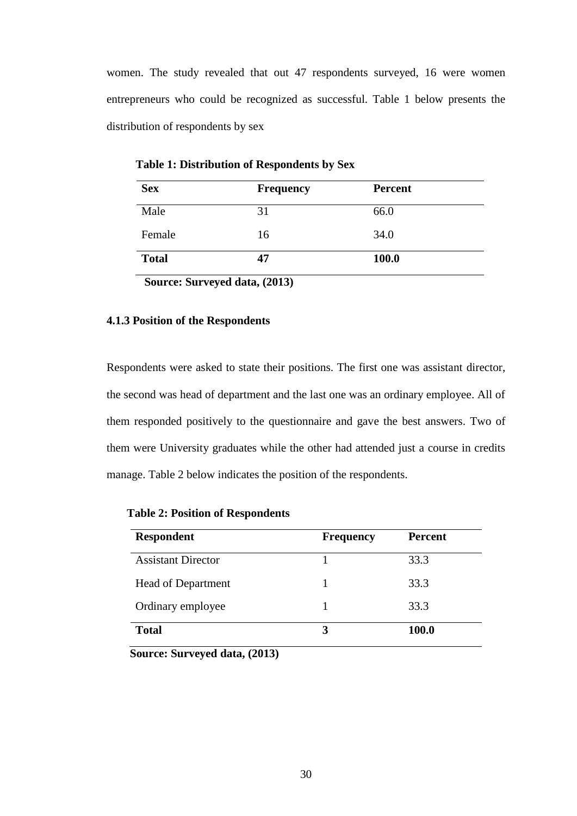women. The study revealed that out 47 respondents surveyed, 16 were women entrepreneurs who could be recognized as successful. Table 1 below presents the distribution of respondents by sex

| <b>Sex</b>   | <b>Frequency</b> | <b>Percent</b> |  |
|--------------|------------------|----------------|--|
| Male         | 31               | 66.0           |  |
| Female       | 16               | 34.0           |  |
| <b>Total</b> | 47               | <b>100.0</b>   |  |

 **Table 1: Distribution of Respondents by Sex**

**Source: Surveyed data, (2013)**

#### **4.1.3 Position of the Respondents**

Respondents were asked to state their positions. The first one was assistant director, the second was head of department and the last one was an ordinary employee. All of them responded positively to the questionnaire and gave the best answers. Two of them were University graduates while the other had attended just a course in credits manage. Table 2 below indicates the position of the respondents.

| <b>Respondent</b>         | <b>Frequency</b> | <b>Percent</b> |
|---------------------------|------------------|----------------|
| <b>Assistant Director</b> |                  | 33.3           |
| <b>Head of Department</b> |                  | 33.3           |
| Ordinary employee         |                  | 33.3           |
| <b>Total</b>              |                  | 100.0          |

 **Table 2: Position of Respondents**

 **Source: Surveyed data, (2013)**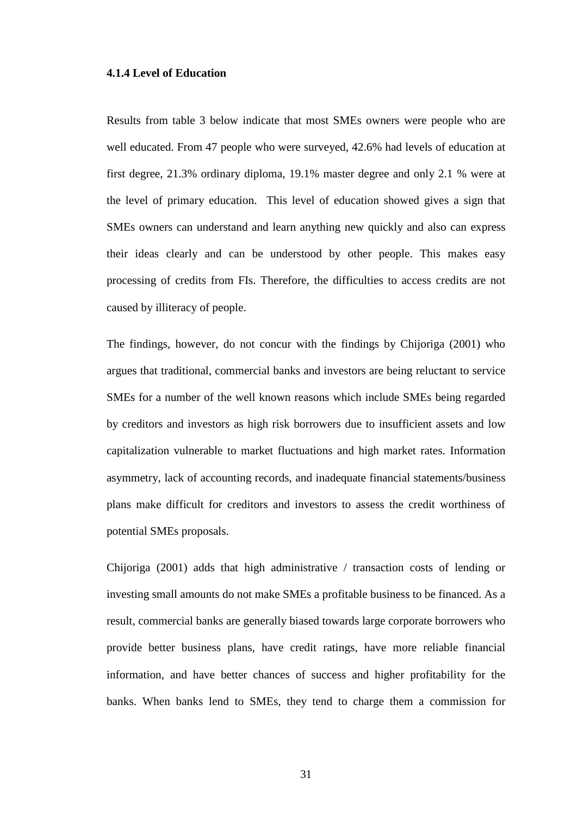#### **4.1.4 Level of Education**

Results from table 3 below indicate that most SMEs owners were people who are well educated. From 47 people who were surveyed, 42.6% had levels of education at first degree, 21.3% ordinary diploma, 19.1% master degree and only 2.1 % were at the level of primary education. This level of education showed gives a sign that SMEs owners can understand and learn anything new quickly and also can express their ideas clearly and can be understood by other people. This makes easy processing of credits from FIs. Therefore, the difficulties to access credits are not caused by illiteracy of people.

The findings, however, do not concur with the findings by Chijoriga (2001) who argues that traditional, commercial banks and investors are being reluctant to service SMEs for a number of the well known reasons which include SMEs being regarded by creditors and investors as high risk borrowers due to insufficient assets and low capitalization vulnerable to market fluctuations and high market rates. Information asymmetry, lack of accounting records, and inadequate financial statements/business plans make difficult for creditors and investors to assess the credit worthiness of potential SMEs proposals.

Chijoriga (2001) adds that high administrative / transaction costs of lending or investing small amounts do not make SMEs a profitable business to be financed. As a result, commercial banks are generally biased towards large corporate borrowers who provide better business plans, have credit ratings, have more reliable financial information, and have better chances of success and higher profitability for the banks. When banks lend to SMEs, they tend to charge them a commission for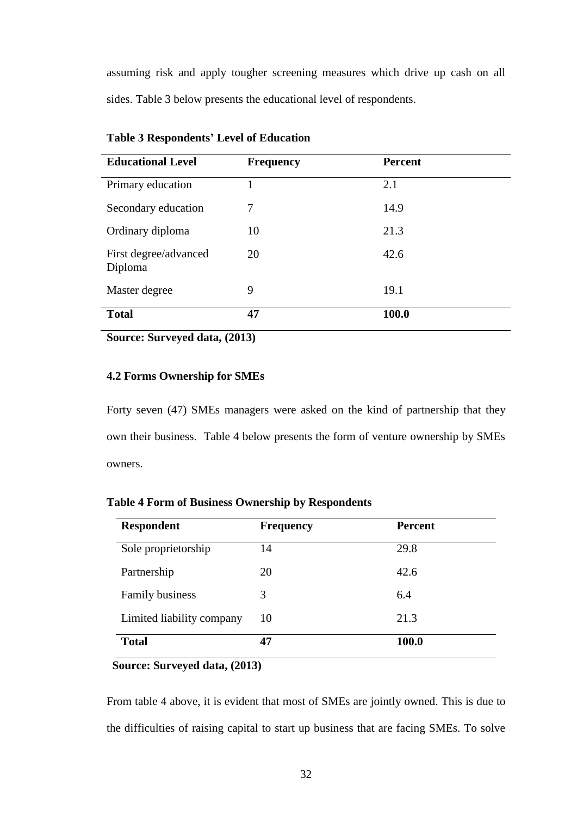assuming risk and apply tougher screening measures which drive up cash on all sides. Table 3 below presents the educational level of respondents.

| <b>Educational Level</b>         | <b>Frequency</b> | <b>Percent</b> |
|----------------------------------|------------------|----------------|
| Primary education                |                  | 2.1            |
| Secondary education              | 7                | 14.9           |
| Ordinary diploma                 | 10               | 21.3           |
| First degree/advanced<br>Diploma | 20               | 42.6           |
| Master degree                    | 9                | 19.1           |
| <b>Total</b>                     | 47               | 100.0          |

**Table 3 Respondents' Level of Education**

**Source: Surveyed data, (2013)**

# **4.2 Forms Ownership for SMEs**

Forty seven (47) SMEs managers were asked on the kind of partnership that they own their business. Table 4 below presents the form of venture ownership by SMEs owners.

| <b>Respondent</b>         | <b>Frequency</b> | <b>Percent</b> |
|---------------------------|------------------|----------------|
| Sole proprietorship       | 14               | 29.8           |
| Partnership               | 20               | 42.6           |
| Family business           | 3                | 6.4            |
| Limited liability company | 10               | 21.3           |
| <b>Total</b>              | 47               | 100.0          |

**Table 4 Form of Business Ownership by Respondents**

# **Source: Surveyed data, (2013)**

From table 4 above, it is evident that most of SMEs are jointly owned. This is due to the difficulties of raising capital to start up business that are facing SMEs. To solve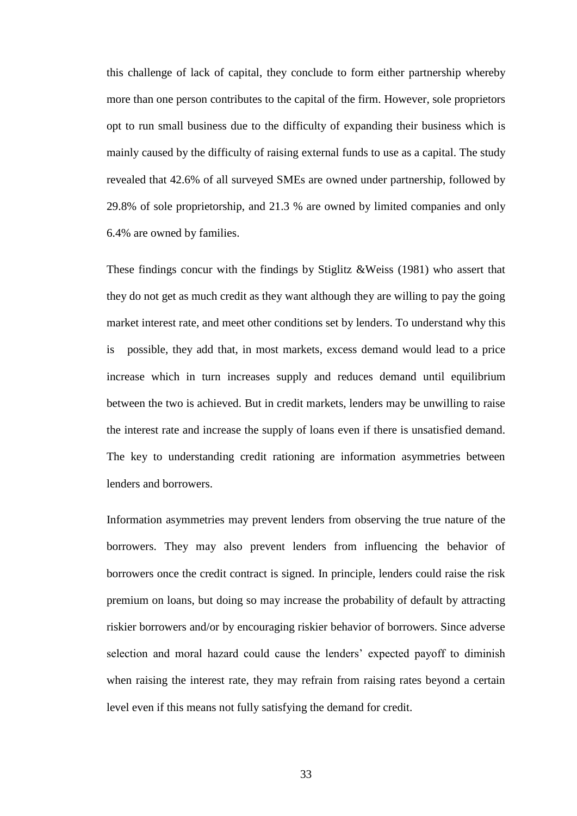this challenge of lack of capital, they conclude to form either partnership whereby more than one person contributes to the capital of the firm. However, sole proprietors opt to run small business due to the difficulty of expanding their business which is mainly caused by the difficulty of raising external funds to use as a capital. The study revealed that 42.6% of all surveyed SMEs are owned under partnership, followed by 29.8% of sole proprietorship, and 21.3 % are owned by limited companies and only 6.4% are owned by families.

These findings concur with the findings by Stiglitz &Weiss (1981) who assert that they do not get as much credit as they want although they are willing to pay the going market interest rate, and meet other conditions set by lenders. To understand why this is possible, they add that, in most markets, excess demand would lead to a price increase which in turn increases supply and reduces demand until equilibrium between the two is achieved. But in credit markets, lenders may be unwilling to raise the interest rate and increase the supply of loans even if there is unsatisfied demand. The key to understanding credit rationing are information asymmetries between lenders and borrowers.

Information asymmetries may prevent lenders from observing the true nature of the borrowers. They may also prevent lenders from influencing the behavior of borrowers once the credit contract is signed. In principle, lenders could raise the risk premium on loans, but doing so may increase the probability of default by attracting riskier borrowers and/or by encouraging riskier behavior of borrowers. Since adverse selection and moral hazard could cause the lenders' expected payoff to diminish when raising the interest rate, they may refrain from raising rates beyond a certain level even if this means not fully satisfying the demand for credit.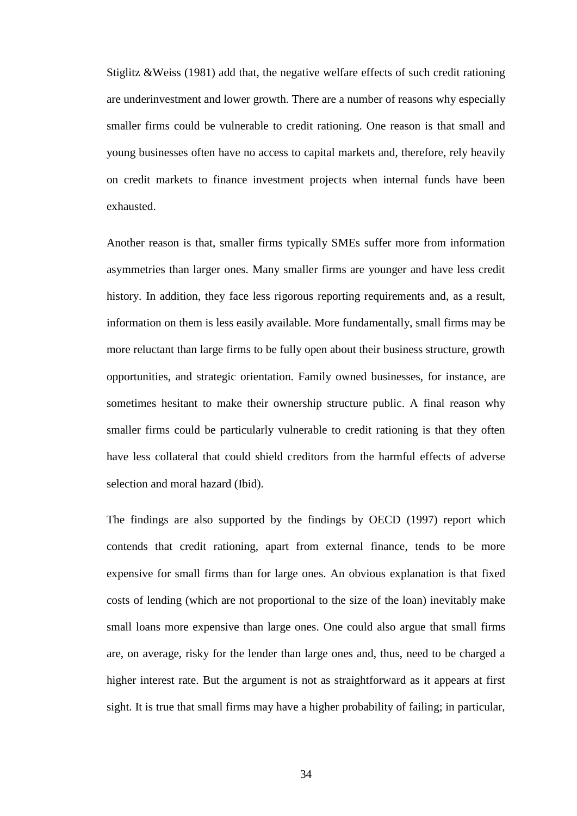Stiglitz &Weiss (1981) add that, the negative welfare effects of such credit rationing are underinvestment and lower growth. There are a number of reasons why especially smaller firms could be vulnerable to credit rationing. One reason is that small and young businesses often have no access to capital markets and, therefore, rely heavily on credit markets to finance investment projects when internal funds have been exhausted.

Another reason is that, smaller firms typically SMEs suffer more from information asymmetries than larger ones. Many smaller firms are younger and have less credit history. In addition, they face less rigorous reporting requirements and, as a result, information on them is less easily available. More fundamentally, small firms may be more reluctant than large firms to be fully open about their business structure, growth opportunities, and strategic orientation. Family owned businesses, for instance, are sometimes hesitant to make their ownership structure public. A final reason why smaller firms could be particularly vulnerable to credit rationing is that they often have less collateral that could shield creditors from the harmful effects of adverse selection and moral hazard (Ibid).

The findings are also supported by the findings by OECD (1997) report which contends that credit rationing, apart from external finance, tends to be more expensive for small firms than for large ones. An obvious explanation is that fixed costs of lending (which are not proportional to the size of the loan) inevitably make small loans more expensive than large ones. One could also argue that small firms are, on average, risky for the lender than large ones and, thus, need to be charged a higher interest rate. But the argument is not as straightforward as it appears at first sight. It is true that small firms may have a higher probability of failing; in particular,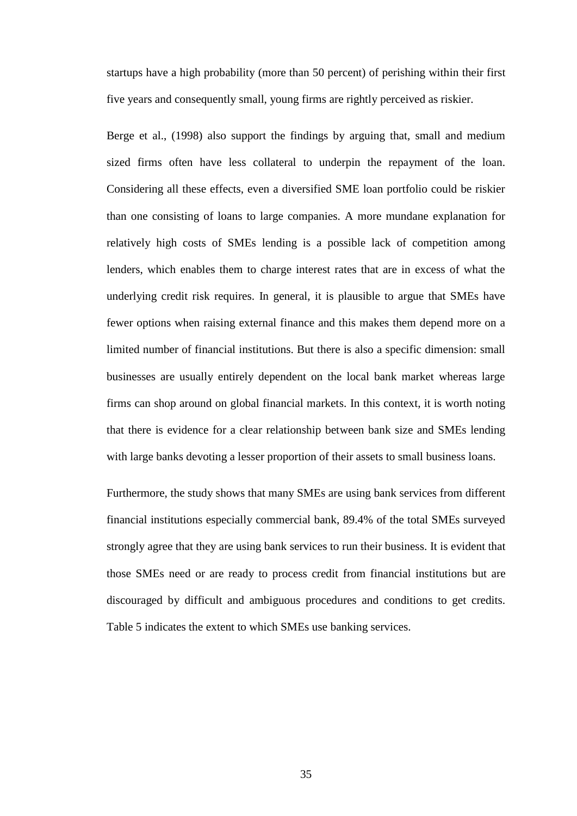startups have a high probability (more than 50 percent) of perishing within their first five years and consequently small, young firms are rightly perceived as riskier.

Berge et al., (1998) also support the findings by arguing that, small and medium sized firms often have less collateral to underpin the repayment of the loan. Considering all these effects, even a diversified SME loan portfolio could be riskier than one consisting of loans to large companies. A more mundane explanation for relatively high costs of SMEs lending is a possible lack of competition among lenders, which enables them to charge interest rates that are in excess of what the underlying credit risk requires. In general, it is plausible to argue that SMEs have fewer options when raising external finance and this makes them depend more on a limited number of financial institutions. But there is also a specific dimension: small businesses are usually entirely dependent on the local bank market whereas large firms can shop around on global financial markets. In this context, it is worth noting that there is evidence for a clear relationship between bank size and SMEs lending with large banks devoting a lesser proportion of their assets to small business loans.

Furthermore, the study shows that many SMEs are using bank services from different financial institutions especially commercial bank, 89.4% of the total SMEs surveyed strongly agree that they are using bank services to run their business. It is evident that those SMEs need or are ready to process credit from financial institutions but are discouraged by difficult and ambiguous procedures and conditions to get credits. Table 5 indicates the extent to which SMEs use banking services.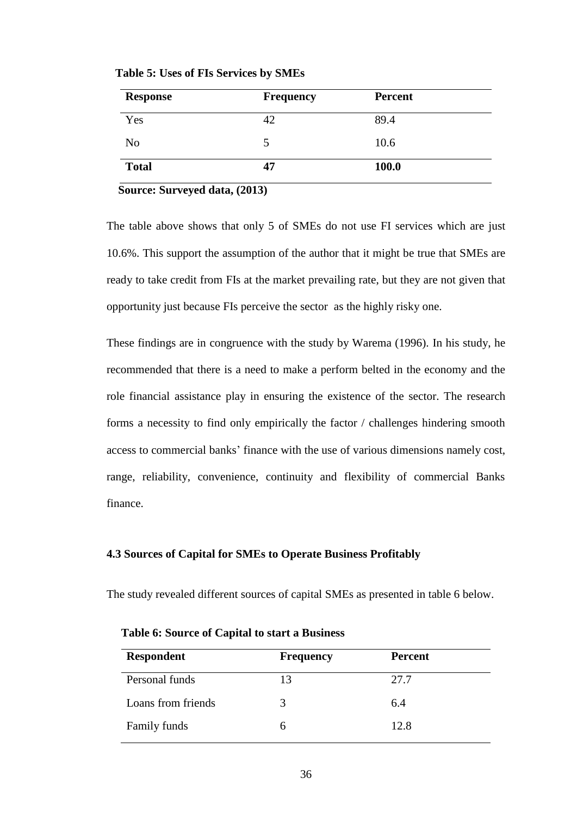| <b>Response</b> | <b>Frequency</b> | <b>Percent</b> |  |
|-----------------|------------------|----------------|--|
| Yes             | 42               | 89.4           |  |
| N <sub>o</sub>  | 5                | 10.6           |  |
| <b>Total</b>    | 47               | 100.0          |  |

 **Table 5: Uses of FIs Services by SMEs**

#### **Source: Surveyed data, (2013)**

The table above shows that only 5 of SMEs do not use FI services which are just 10.6%. This support the assumption of the author that it might be true that SMEs are ready to take credit from FIs at the market prevailing rate, but they are not given that opportunity just because FIs perceive the sector as the highly risky one.

These findings are in congruence with the study by Warema (1996). In his study, he recommended that there is a need to make a perform belted in the economy and the role financial assistance play in ensuring the existence of the sector. The research forms a necessity to find only empirically the factor / challenges hindering smooth access to commercial banks' finance with the use of various dimensions namely cost, range, reliability, convenience, continuity and flexibility of commercial Banks finance.

#### **4.3 Sources of Capital for SMEs to Operate Business Profitably**

The study revealed different sources of capital SMEs as presented in table 6 below.

| <b>Respondent</b>  | <b>Frequency</b> | <b>Percent</b> |
|--------------------|------------------|----------------|
| Personal funds     | 13               | 27.7           |
| Loans from friends | 3                | 6.4            |
| Family funds       | h                | 12.8           |

 **Table 6: Source of Capital to start a Business**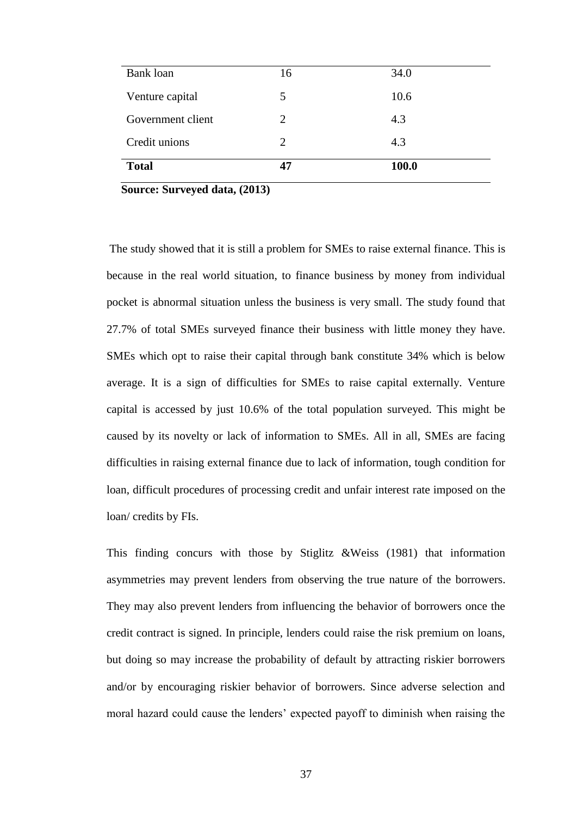| <b>Bank</b> loan  | 16 | 34.0  |
|-------------------|----|-------|
| Venture capital   | 5  | 10.6  |
| Government client | 2  | 4.3   |
| Credit unions     | 2  | 4.3   |
| <b>Total</b>      | 47 | 100.0 |

 **Source: Surveyed data, (2013)**

The study showed that it is still a problem for SMEs to raise external finance. This is because in the real world situation, to finance business by money from individual pocket is abnormal situation unless the business is very small. The study found that 27.7% of total SMEs surveyed finance their business with little money they have. SMEs which opt to raise their capital through bank constitute 34% which is below average. It is a sign of difficulties for SMEs to raise capital externally. Venture capital is accessed by just 10.6% of the total population surveyed. This might be caused by its novelty or lack of information to SMEs. All in all, SMEs are facing difficulties in raising external finance due to lack of information, tough condition for loan, difficult procedures of processing credit and unfair interest rate imposed on the loan/ credits by FIs.

This finding concurs with those by Stiglitz &Weiss (1981) that information asymmetries may prevent lenders from observing the true nature of the borrowers. They may also prevent lenders from influencing the behavior of borrowers once the credit contract is signed. In principle, lenders could raise the risk premium on loans, but doing so may increase the probability of default by attracting riskier borrowers and/or by encouraging riskier behavior of borrowers. Since adverse selection and moral hazard could cause the lenders' expected payoff to diminish when raising the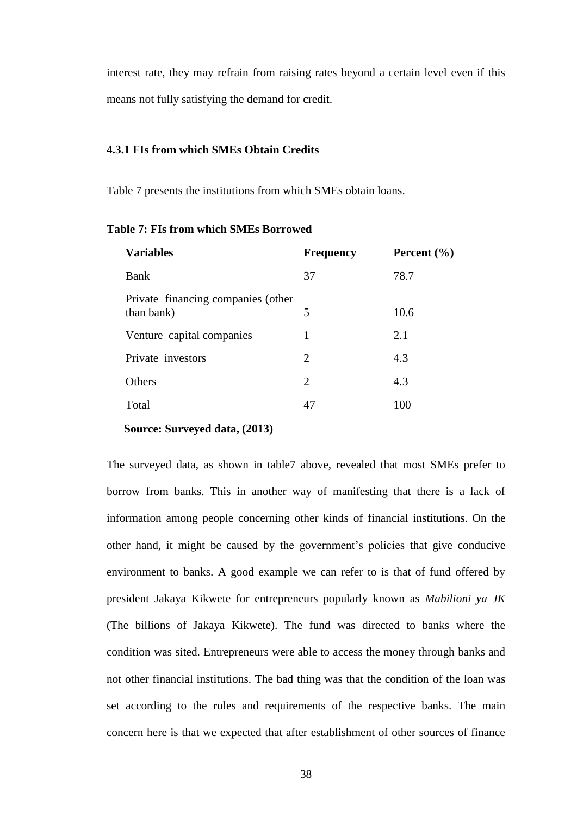interest rate, they may refrain from raising rates beyond a certain level even if this means not fully satisfying the demand for credit.

#### **4.3.1 FIs from which SMEs Obtain Credits**

Table 7 presents the institutions from which SMEs obtain loans.

| <b>Variables</b>                                 | <b>Frequency</b> | Percent $(\% )$ |
|--------------------------------------------------|------------------|-----------------|
| <b>Bank</b>                                      | 37               | 78.7            |
| Private financing companies (other<br>than bank) | 5                | 10.6            |
| Venture capital companies                        |                  | 2.1             |
| Private investors                                | 2                | 4.3             |
| Others                                           | $\overline{2}$   | 4.3             |
| Total                                            | 47               | 100             |

**Table 7: FIs from which SMEs Borrowed**

#### **Source: Surveyed data, (2013)**

The surveyed data, as shown in table7 above, revealed that most SMEs prefer to borrow from banks. This in another way of manifesting that there is a lack of information among people concerning other kinds of financial institutions. On the other hand, it might be caused by the government's policies that give conducive environment to banks. A good example we can refer to is that of fund offered by president Jakaya Kikwete for entrepreneurs popularly known as *Mabilioni ya JK*  (The billions of Jakaya Kikwete). The fund was directed to banks where the condition was sited. Entrepreneurs were able to access the money through banks and not other financial institutions. The bad thing was that the condition of the loan was set according to the rules and requirements of the respective banks. The main concern here is that we expected that after establishment of other sources of finance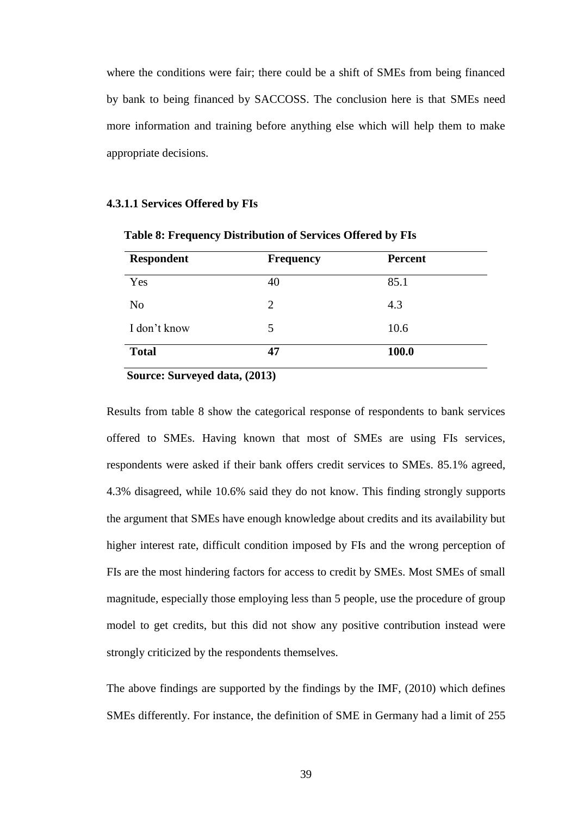where the conditions were fair; there could be a shift of SMEs from being financed by bank to being financed by SACCOSS. The conclusion here is that SMEs need more information and training before anything else which will help them to make appropriate decisions.

#### **4.3.1.1 Services Offered by FIs**

| <b>Respondent</b> | <b>Frequency</b> | <b>Percent</b> |  |
|-------------------|------------------|----------------|--|
| Yes               | 40               | 85.1           |  |
| N <sub>o</sub>    | 2                | 4.3            |  |
| I don't know      | 5                | 10.6           |  |
| <b>Total</b>      | 47               | 100.0          |  |

 **Table 8: Frequency Distribution of Services Offered by FIs**

 **Source: Surveyed data, (2013)**

Results from table 8 show the categorical response of respondents to bank services offered to SMEs. Having known that most of SMEs are using FIs services, respondents were asked if their bank offers credit services to SMEs. 85.1% agreed, 4.3% disagreed, while 10.6% said they do not know. This finding strongly supports the argument that SMEs have enough knowledge about credits and its availability but higher interest rate, difficult condition imposed by FIs and the wrong perception of FIs are the most hindering factors for access to credit by SMEs. Most SMEs of small magnitude, especially those employing less than 5 people, use the procedure of group model to get credits, but this did not show any positive contribution instead were strongly criticized by the respondents themselves.

The above findings are supported by the findings by the IMF, (2010) which defines SMEs differently. For instance, the definition of SME in Germany had a limit of 255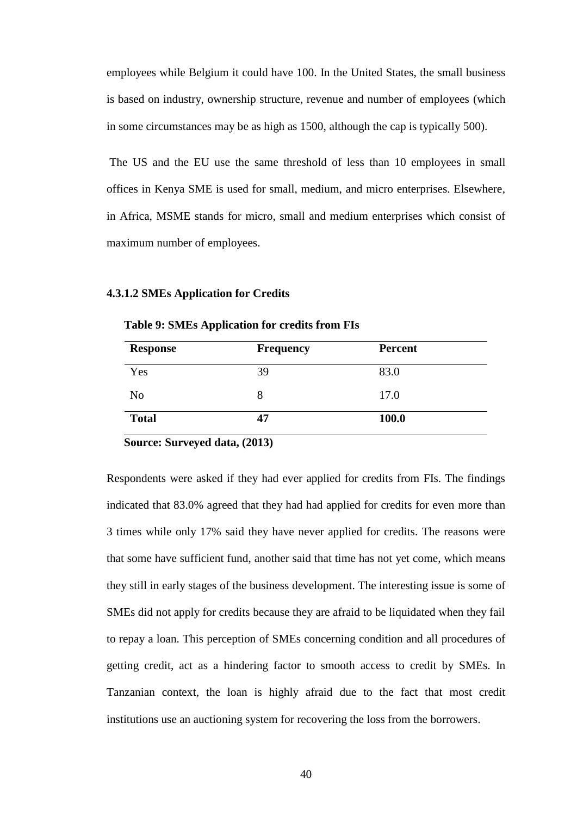employees while Belgium it could have 100. In the United States, the small business is based on industry, ownership structure, revenue and number of employees (which in some circumstances may be as high as 1500, although the cap is typically 500).

The US and the EU use the same threshold of less than 10 employees in small offices in Kenya SME is used for small, medium, and micro enterprises. Elsewhere, in Africa, MSME stands for micro, small and medium enterprises which consist of maximum number of employees.

#### **4.3.1.2 SMEs Application for Credits**

| <b>Response</b> | <b>Frequency</b> | <b>Percent</b> |  |
|-----------------|------------------|----------------|--|
| Yes             | 39               | 83.0           |  |
| N <sub>o</sub>  | 8                | 17.0           |  |
| <b>Total</b>    | 47               | 100.0          |  |

 **Table 9: SMEs Application for credits from FIs**

 **Source: Surveyed data, (2013)**

Respondents were asked if they had ever applied for credits from FIs. The findings indicated that 83.0% agreed that they had had applied for credits for even more than 3 times while only 17% said they have never applied for credits. The reasons were that some have sufficient fund, another said that time has not yet come, which means they still in early stages of the business development. The interesting issue is some of SMEs did not apply for credits because they are afraid to be liquidated when they fail to repay a loan. This perception of SMEs concerning condition and all procedures of getting credit, act as a hindering factor to smooth access to credit by SMEs. In Tanzanian context, the loan is highly afraid due to the fact that most credit institutions use an auctioning system for recovering the loss from the borrowers.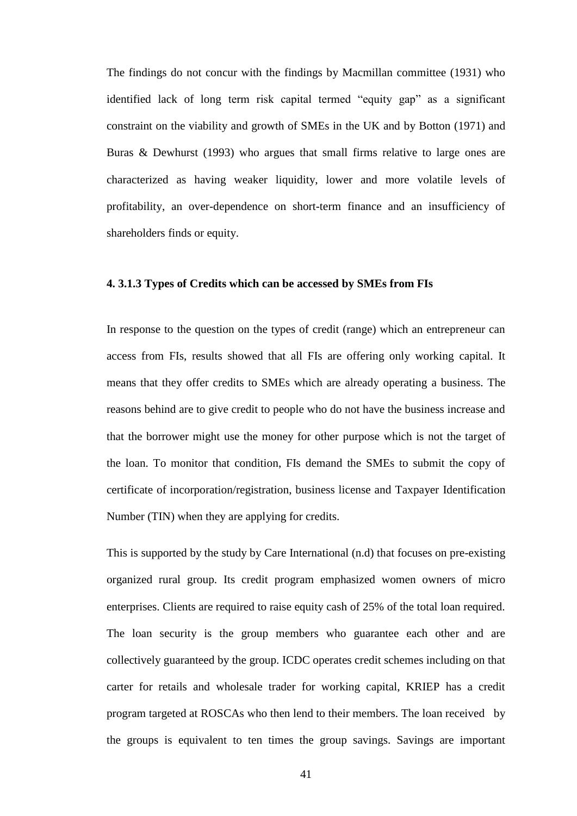The findings do not concur with the findings by Macmillan committee (1931) who identified lack of long term risk capital termed "equity gap" as a significant constraint on the viability and growth of SMEs in the UK and by Botton (1971) and Buras & Dewhurst (1993) who argues that small firms relative to large ones are characterized as having weaker liquidity, lower and more volatile levels of profitability, an over-dependence on short-term finance and an insufficiency of shareholders finds or equity.

#### **4. 3.1.3 Types of Credits which can be accessed by SMEs from FIs**

In response to the question on the types of credit (range) which an entrepreneur can access from FIs, results showed that all FIs are offering only working capital. It means that they offer credits to SMEs which are already operating a business. The reasons behind are to give credit to people who do not have the business increase and that the borrower might use the money for other purpose which is not the target of the loan. To monitor that condition, FIs demand the SMEs to submit the copy of certificate of incorporation/registration, business license and Taxpayer Identification Number (TIN) when they are applying for credits.

This is supported by the study by Care International (n.d) that focuses on pre-existing organized rural group. Its credit program emphasized women owners of micro enterprises. Clients are required to raise equity cash of 25% of the total loan required. The loan security is the group members who guarantee each other and are collectively guaranteed by the group. ICDC operates credit schemes including on that carter for retails and wholesale trader for working capital, KRIEP has a credit program targeted at ROSCAs who then lend to their members. The loan received by the groups is equivalent to ten times the group savings. Savings are important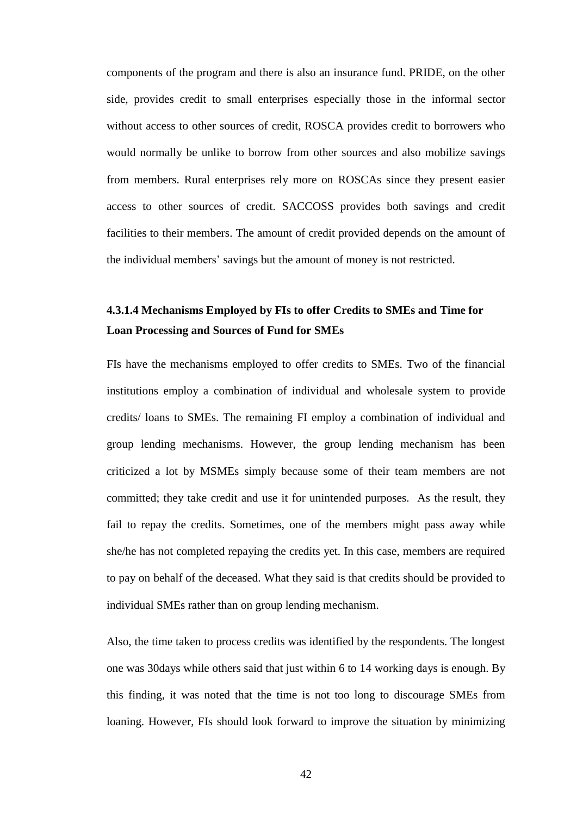components of the program and there is also an insurance fund. PRIDE, on the other side, provides credit to small enterprises especially those in the informal sector without access to other sources of credit, ROSCA provides credit to borrowers who would normally be unlike to borrow from other sources and also mobilize savings from members. Rural enterprises rely more on ROSCAs since they present easier access to other sources of credit. SACCOSS provides both savings and credit facilities to their members. The amount of credit provided depends on the amount of the individual members' savings but the amount of money is not restricted.

# **4.3.1.4 Mechanisms Employed by FIs to offer Credits to SMEs and Time for Loan Processing and Sources of Fund for SMEs**

FIs have the mechanisms employed to offer credits to SMEs. Two of the financial institutions employ a combination of individual and wholesale system to provide credits/ loans to SMEs. The remaining FI employ a combination of individual and group lending mechanisms. However, the group lending mechanism has been criticized a lot by MSMEs simply because some of their team members are not committed; they take credit and use it for unintended purposes. As the result, they fail to repay the credits. Sometimes, one of the members might pass away while she/he has not completed repaying the credits yet. In this case, members are required to pay on behalf of the deceased. What they said is that credits should be provided to individual SMEs rather than on group lending mechanism.

Also, the time taken to process credits was identified by the respondents. The longest one was 30days while others said that just within 6 to 14 working days is enough. By this finding, it was noted that the time is not too long to discourage SMEs from loaning. However, FIs should look forward to improve the situation by minimizing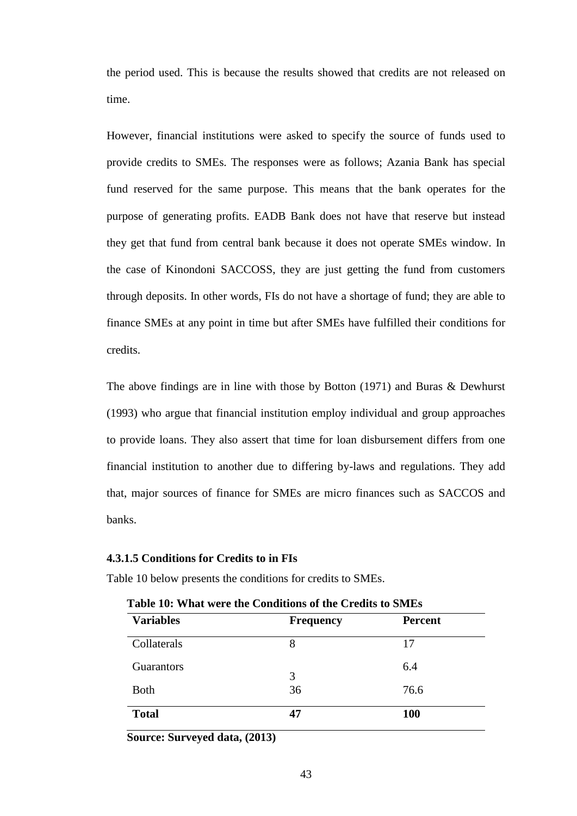the period used. This is because the results showed that credits are not released on time.

However, financial institutions were asked to specify the source of funds used to provide credits to SMEs. The responses were as follows; Azania Bank has special fund reserved for the same purpose. This means that the bank operates for the purpose of generating profits. EADB Bank does not have that reserve but instead they get that fund from central bank because it does not operate SMEs window. In the case of Kinondoni SACCOSS, they are just getting the fund from customers through deposits. In other words, FIs do not have a shortage of fund; they are able to finance SMEs at any point in time but after SMEs have fulfilled their conditions for credits.

The above findings are in line with those by Botton (1971) and Buras & Dewhurst (1993) who argue that financial institution employ individual and group approaches to provide loans. They also assert that time for loan disbursement differs from one financial institution to another due to differing by-laws and regulations. They add that, major sources of finance for SMEs are micro finances such as SACCOS and banks.

#### **4.3.1.5 Conditions for Credits to in FIs**

Table 10 below presents the conditions for credits to SMEs.

| <b>Variables</b> | <b>Frequency</b> | <b>Percent</b> |
|------------------|------------------|----------------|
| Collaterals      | 8                | 17             |
| Guarantors       | 3                | 6.4            |
| <b>Both</b>      | 36               | 76.6           |
| <b>Total</b>     | 47               | <b>100</b>     |

 **Table 10: What were the Conditions of the Credits to SMEs**

 **Source: Surveyed data, (2013)**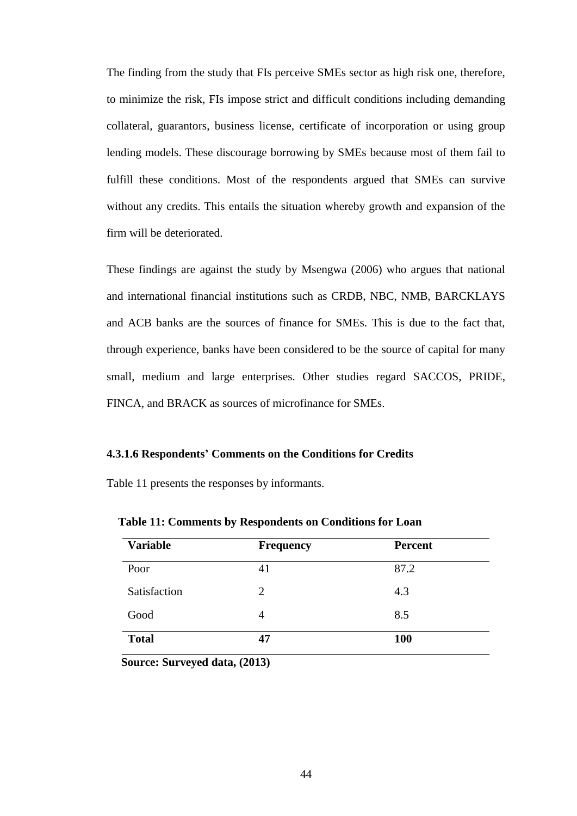The finding from the study that FIs perceive SMEs sector as high risk one, therefore, to minimize the risk, FIs impose strict and difficult conditions including demanding collateral, guarantors, business license, certificate of incorporation or using group lending models. These discourage borrowing by SMEs because most of them fail to fulfill these conditions. Most of the respondents argued that SMEs can survive without any credits. This entails the situation whereby growth and expansion of the firm will be deteriorated.

These findings are against the study by Msengwa (2006) who argues that national and international financial institutions such as CRDB, NBC, NMB, BARCKLAYS and ACB banks are the sources of finance for SMEs. This is due to the fact that, through experience, banks have been considered to be the source of capital for many small, medium and large enterprises. Other studies regard SACCOS, PRIDE, FINCA, and BRACK as sources of microfinance for SMEs.

#### **4.3.1.6 Respondents' Comments on the Conditions for Credits**

Table 11 presents the responses by informants.

| <b>Variable</b> | <b>Frequency</b> | <b>Percent</b> |
|-----------------|------------------|----------------|
| Poor            | 41               | 87.2           |
| Satisfaction    | 2                | 4.3            |
| Good            | $\overline{4}$   | 8.5            |
| <b>Total</b>    | 47               | <b>100</b>     |

 **Table 11: Comments by Respondents on Conditions for Loan**

 **Source: Surveyed data, (2013)**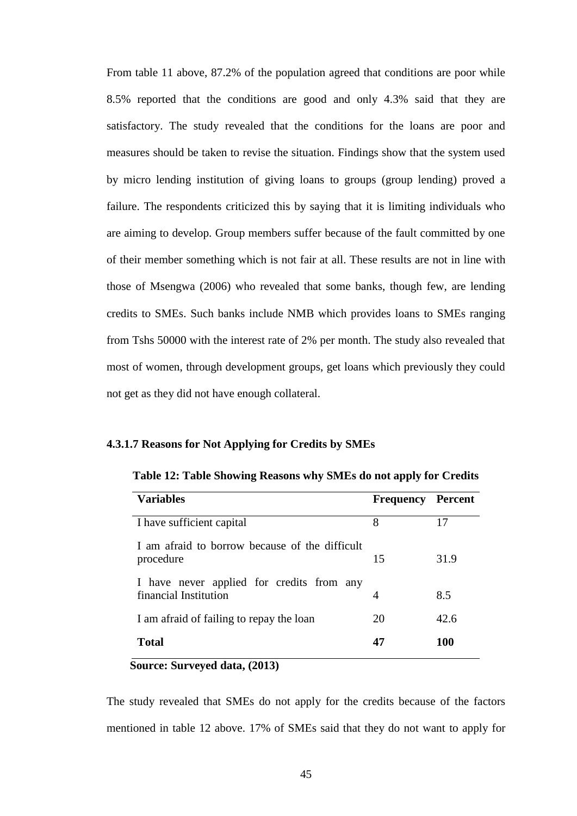From table 11 above, 87.2% of the population agreed that conditions are poor while 8.5% reported that the conditions are good and only 4.3% said that they are satisfactory. The study revealed that the conditions for the loans are poor and measures should be taken to revise the situation. Findings show that the system used by micro lending institution of giving loans to groups (group lending) proved a failure. The respondents criticized this by saying that it is limiting individuals who are aiming to develop. Group members suffer because of the fault committed by one of their member something which is not fair at all. These results are not in line with those of Msengwa (2006) who revealed that some banks, though few, are lending credits to SMEs. Such banks include NMB which provides loans to SMEs ranging from Tshs 50000 with the interest rate of 2% per month. The study also revealed that most of women, through development groups, get loans which previously they could not get as they did not have enough collateral.

# **4.3.1.7 Reasons for Not Applying for Credits by SMEs**

| <b>Variables</b>                                                   | Frequency | Percent |
|--------------------------------------------------------------------|-----------|---------|
| I have sufficient capital                                          | 8         | 17      |
| I am afraid to borrow because of the difficult<br>procedure        | 15        | 31.9    |
| I have never applied for credits from any<br>financial Institution | 4         | 8.5     |
| I am afraid of failing to repay the loan                           | 20        | 42.6    |
| Total                                                              | 47        | 100     |

 **Table 12: Table Showing Reasons why SMEs do not apply for Credits**

# **Source: Surveyed data, (2013)**

The study revealed that SMEs do not apply for the credits because of the factors mentioned in table 12 above. 17% of SMEs said that they do not want to apply for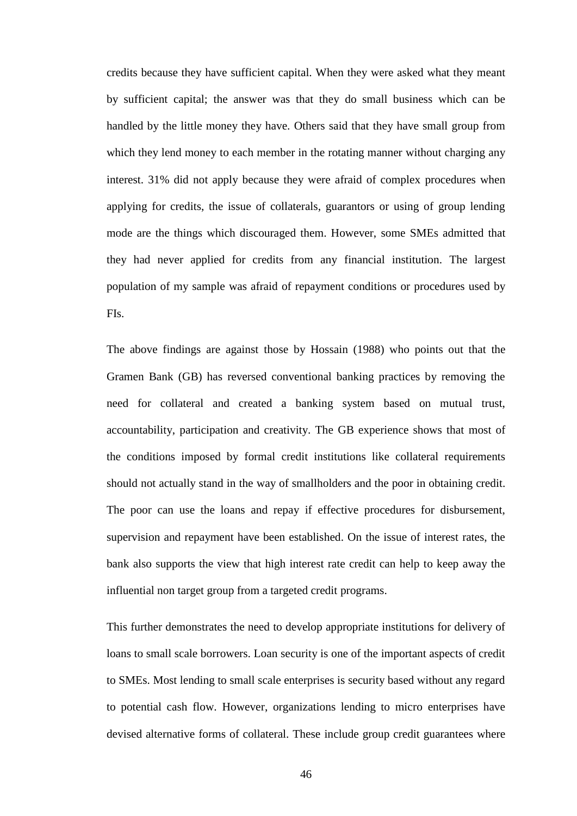credits because they have sufficient capital. When they were asked what they meant by sufficient capital; the answer was that they do small business which can be handled by the little money they have. Others said that they have small group from which they lend money to each member in the rotating manner without charging any interest. 31% did not apply because they were afraid of complex procedures when applying for credits, the issue of collaterals, guarantors or using of group lending mode are the things which discouraged them. However, some SMEs admitted that they had never applied for credits from any financial institution. The largest population of my sample was afraid of repayment conditions or procedures used by FIs.

The above findings are against those by Hossain (1988) who points out that the Gramen Bank (GB) has reversed conventional banking practices by removing the need for collateral and created a banking system based on mutual trust, accountability, participation and creativity. The GB experience shows that most of the conditions imposed by formal credit institutions like collateral requirements should not actually stand in the way of smallholders and the poor in obtaining credit. The poor can use the loans and repay if effective procedures for disbursement, supervision and repayment have been established. On the issue of interest rates, the bank also supports the view that high interest rate credit can help to keep away the influential non target group from a targeted credit programs.

This further demonstrates the need to develop appropriate institutions for delivery of loans to small scale borrowers. Loan security is one of the important aspects of credit to SMEs. Most lending to small scale enterprises is security based without any regard to potential cash flow. However, organizations lending to micro enterprises have devised alternative forms of collateral. These include group credit guarantees where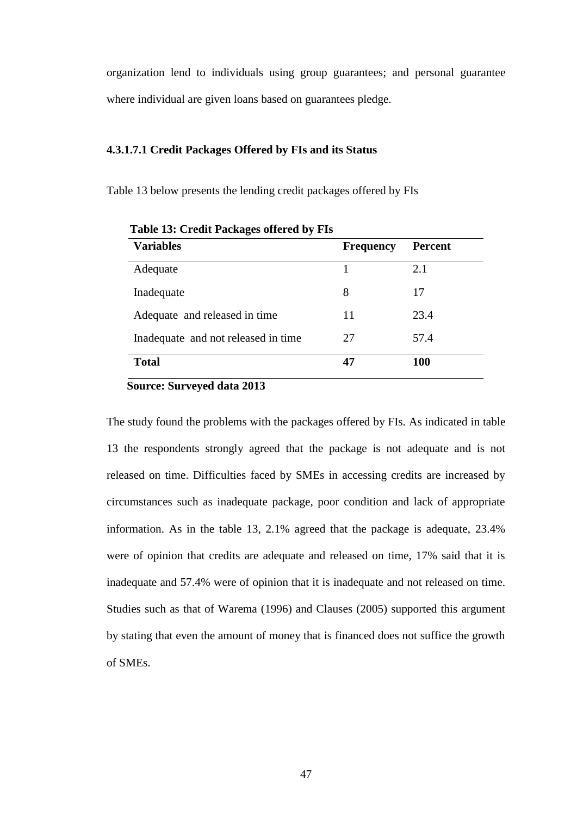organization lend to individuals using group guarantees; and personal guarantee where individual are given loans based on guarantees pledge.

#### **4.3.1.7.1 Credit Packages Offered by FIs and its Status**

Table 13 below presents the lending credit packages offered by FIs

| <b>Variables</b>                    | <b>Frequency</b> | <b>Percent</b> |
|-------------------------------------|------------------|----------------|
| Adequate                            |                  | 2.1            |
| Inadequate                          | 8                | 17             |
| Adequate and released in time       | 11               | 23.4           |
| Inadequate and not released in time | 27               | 57.4           |
| <b>Total</b>                        | 47               | <b>100</b>     |

 **Table 13: Credit Packages offered by FIs**

 **Source: Surveyed data 2013**

The study found the problems with the packages offered by FIs. As indicated in table 13 the respondents strongly agreed that the package is not adequate and is not released on time. Difficulties faced by SMEs in accessing credits are increased by circumstances such as inadequate package, poor condition and lack of appropriate information. As in the table 13, 2.1% agreed that the package is adequate, 23.4% were of opinion that credits are adequate and released on time, 17% said that it is inadequate and 57.4% were of opinion that it is inadequate and not released on time. Studies such as that of Warema (1996) and Clauses (2005) supported this argument by stating that even the amount of money that is financed does not suffice the growth of SMEs.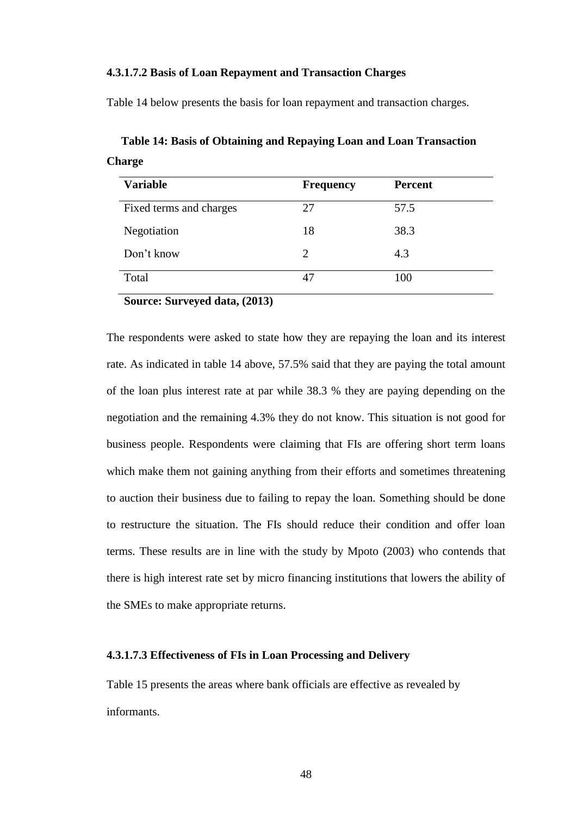# **4.3.1.7.2 Basis of Loan Repayment and Transaction Charges**

Table 14 below presents the basis for loan repayment and transaction charges.

| <b>Variable</b>         | <b>Frequency</b> | <b>Percent</b> |
|-------------------------|------------------|----------------|
| Fixed terms and charges | 27               | 57.5           |
| Negotiation             | 18               | 38.3           |
| Don't know              | 2                | 4.3            |
| Total                   | 47               | 100            |

 **Table 14: Basis of Obtaining and Repaying Loan and Loan Transaction Charge**

 **Source: Surveyed data, (2013)**

The respondents were asked to state how they are repaying the loan and its interest rate. As indicated in table 14 above, 57.5% said that they are paying the total amount of the loan plus interest rate at par while 38.3 % they are paying depending on the negotiation and the remaining 4.3% they do not know. This situation is not good for business people. Respondents were claiming that FIs are offering short term loans which make them not gaining anything from their efforts and sometimes threatening to auction their business due to failing to repay the loan. Something should be done to restructure the situation. The FIs should reduce their condition and offer loan terms. These results are in line with the study by Mpoto (2003) who contends that there is high interest rate set by micro financing institutions that lowers the ability of the SMEs to make appropriate returns.

#### **4.3.1.7.3 Effectiveness of FIs in Loan Processing and Delivery**

Table 15 presents the areas where bank officials are effective as revealed by informants.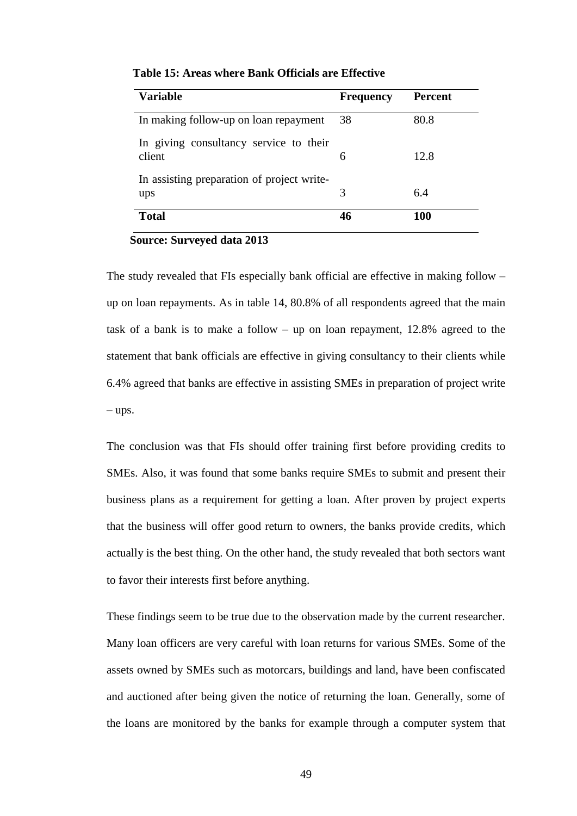| <b>Variable</b>                                   | <b>Frequency</b> | <b>Percent</b> |
|---------------------------------------------------|------------------|----------------|
| In making follow-up on loan repayment             | 38               | 80.8           |
| In giving consultancy service to their<br>client  | 6                | 12.8           |
| In assisting preparation of project write-<br>ups | 3                | 6.4            |
| <b>Total</b>                                      | 46               | <b>100</b>     |

 **Table 15: Areas where Bank Officials are Effective**

 **Source: Surveyed data 2013**

The study revealed that FIs especially bank official are effective in making follow – up on loan repayments. As in table 14, 80.8% of all respondents agreed that the main task of a bank is to make a follow – up on loan repayment, 12.8% agreed to the statement that bank officials are effective in giving consultancy to their clients while 6.4% agreed that banks are effective in assisting SMEs in preparation of project write  $-$ ups.

The conclusion was that FIs should offer training first before providing credits to SMEs. Also, it was found that some banks require SMEs to submit and present their business plans as a requirement for getting a loan. After proven by project experts that the business will offer good return to owners, the banks provide credits, which actually is the best thing. On the other hand, the study revealed that both sectors want to favor their interests first before anything.

These findings seem to be true due to the observation made by the current researcher. Many loan officers are very careful with loan returns for various SMEs. Some of the assets owned by SMEs such as motorcars, buildings and land, have been confiscated and auctioned after being given the notice of returning the loan. Generally, some of the loans are monitored by the banks for example through a computer system that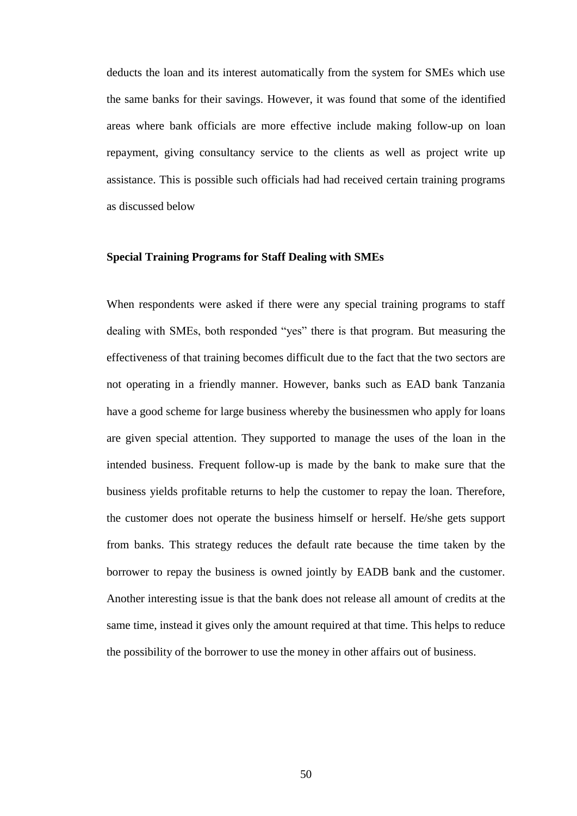deducts the loan and its interest automatically from the system for SMEs which use the same banks for their savings. However, it was found that some of the identified areas where bank officials are more effective include making follow-up on loan repayment, giving consultancy service to the clients as well as project write up assistance. This is possible such officials had had received certain training programs as discussed below

#### **Special Training Programs for Staff Dealing with SMEs**

When respondents were asked if there were any special training programs to staff dealing with SMEs, both responded "yes" there is that program. But measuring the effectiveness of that training becomes difficult due to the fact that the two sectors are not operating in a friendly manner. However, banks such as EAD bank Tanzania have a good scheme for large business whereby the businessmen who apply for loans are given special attention. They supported to manage the uses of the loan in the intended business. Frequent follow-up is made by the bank to make sure that the business yields profitable returns to help the customer to repay the loan. Therefore, the customer does not operate the business himself or herself. He/she gets support from banks. This strategy reduces the default rate because the time taken by the borrower to repay the business is owned jointly by EADB bank and the customer. Another interesting issue is that the bank does not release all amount of credits at the same time, instead it gives only the amount required at that time. This helps to reduce the possibility of the borrower to use the money in other affairs out of business.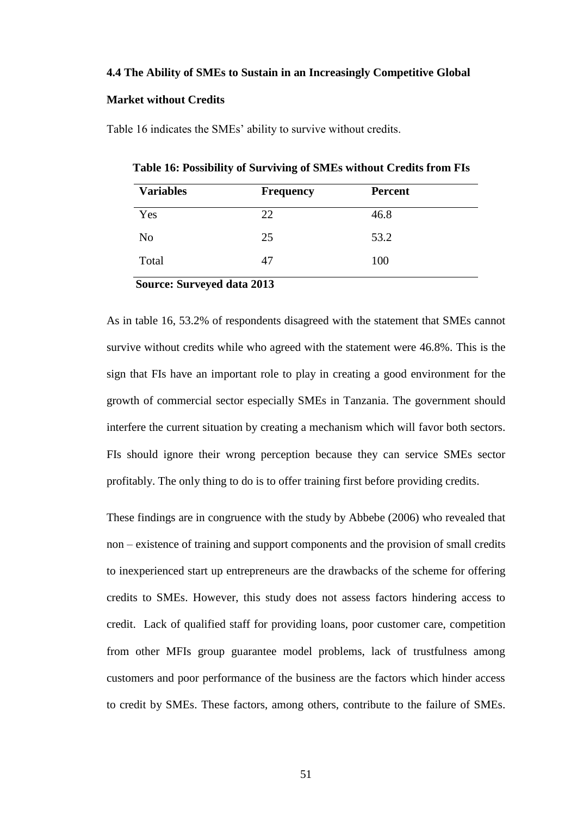#### **4.4 The Ability of SMEs to Sustain in an Increasingly Competitive Global**

#### **Market without Credits**

Table 16 indicates the SMEs' ability to survive without credits.

 **Table 16: Possibility of Surviving of SMEs without Credits from FIs**

| <b>Variables</b> | <b>Frequency</b> | <b>Percent</b> |
|------------------|------------------|----------------|
| Yes              | 22               | 46.8           |
| N <sub>0</sub>   | 25               | 53.2           |
| Total            | 47               | 100            |

 **Source: Surveyed data 2013**

As in table 16, 53.2% of respondents disagreed with the statement that SMEs cannot survive without credits while who agreed with the statement were 46.8%. This is the sign that FIs have an important role to play in creating a good environment for the growth of commercial sector especially SMEs in Tanzania. The government should interfere the current situation by creating a mechanism which will favor both sectors. FIs should ignore their wrong perception because they can service SMEs sector profitably. The only thing to do is to offer training first before providing credits.

These findings are in congruence with the study by Abbebe (2006) who revealed that non – existence of training and support components and the provision of small credits to inexperienced start up entrepreneurs are the drawbacks of the scheme for offering credits to SMEs. However, this study does not assess factors hindering access to credit. Lack of qualified staff for providing loans, poor customer care, competition from other MFIs group guarantee model problems, lack of trustfulness among customers and poor performance of the business are the factors which hinder access to credit by SMEs. These factors, among others, contribute to the failure of SMEs.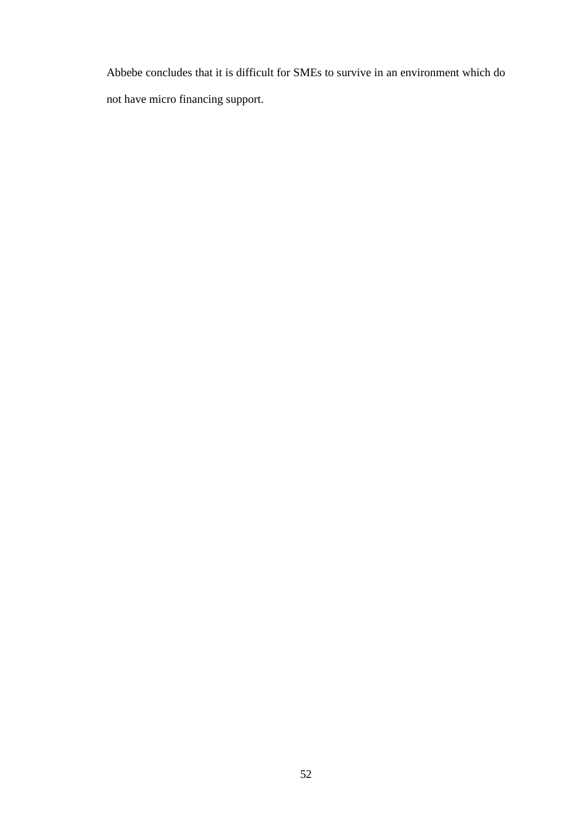Abbebe concludes that it is difficult for SMEs to survive in an environment which do not have micro financing support.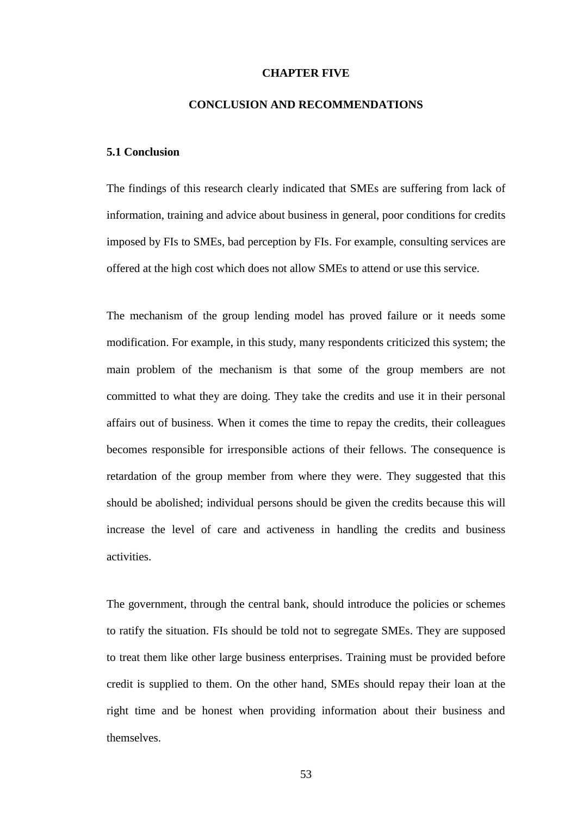#### **CHAPTER FIVE**

#### **CONCLUSION AND RECOMMENDATIONS**

#### **5.1 Conclusion**

The findings of this research clearly indicated that SMEs are suffering from lack of information, training and advice about business in general, poor conditions for credits imposed by FIs to SMEs, bad perception by FIs. For example, consulting services are offered at the high cost which does not allow SMEs to attend or use this service.

The mechanism of the group lending model has proved failure or it needs some modification. For example, in this study, many respondents criticized this system; the main problem of the mechanism is that some of the group members are not committed to what they are doing. They take the credits and use it in their personal affairs out of business. When it comes the time to repay the credits, their colleagues becomes responsible for irresponsible actions of their fellows. The consequence is retardation of the group member from where they were. They suggested that this should be abolished; individual persons should be given the credits because this will increase the level of care and activeness in handling the credits and business activities.

The government, through the central bank, should introduce the policies or schemes to ratify the situation. FIs should be told not to segregate SMEs. They are supposed to treat them like other large business enterprises. Training must be provided before credit is supplied to them. On the other hand, SMEs should repay their loan at the right time and be honest when providing information about their business and themselves.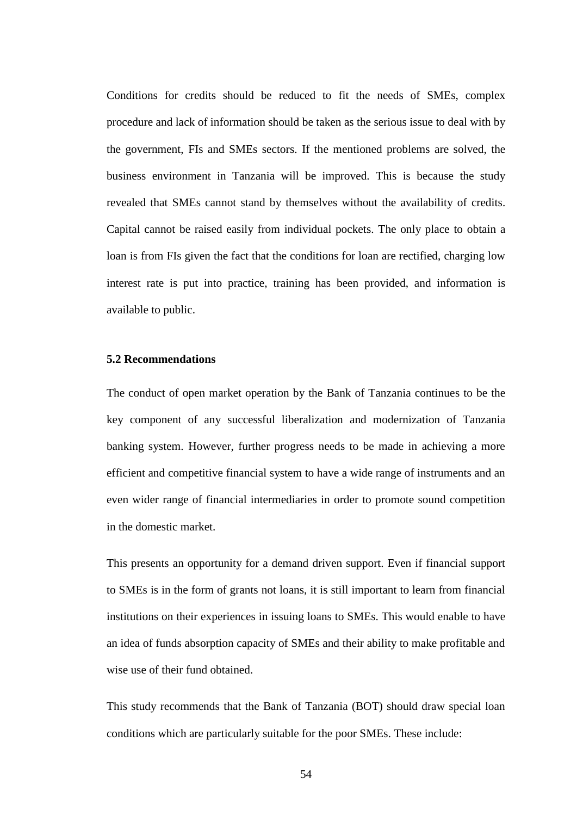Conditions for credits should be reduced to fit the needs of SMEs, complex procedure and lack of information should be taken as the serious issue to deal with by the government, FIs and SMEs sectors. If the mentioned problems are solved, the business environment in Tanzania will be improved. This is because the study revealed that SMEs cannot stand by themselves without the availability of credits. Capital cannot be raised easily from individual pockets. The only place to obtain a loan is from FIs given the fact that the conditions for loan are rectified, charging low interest rate is put into practice, training has been provided, and information is available to public.

#### **5.2 Recommendations**

The conduct of open market operation by the Bank of Tanzania continues to be the key component of any successful liberalization and modernization of Tanzania banking system. However, further progress needs to be made in achieving a more efficient and competitive financial system to have a wide range of instruments and an even wider range of financial intermediaries in order to promote sound competition in the domestic market.

This presents an opportunity for a demand driven support. Even if financial support to SMEs is in the form of grants not loans, it is still important to learn from financial institutions on their experiences in issuing loans to SMEs. This would enable to have an idea of funds absorption capacity of SMEs and their ability to make profitable and wise use of their fund obtained.

This study recommends that the Bank of Tanzania (BOT) should draw special loan conditions which are particularly suitable for the poor SMEs. These include: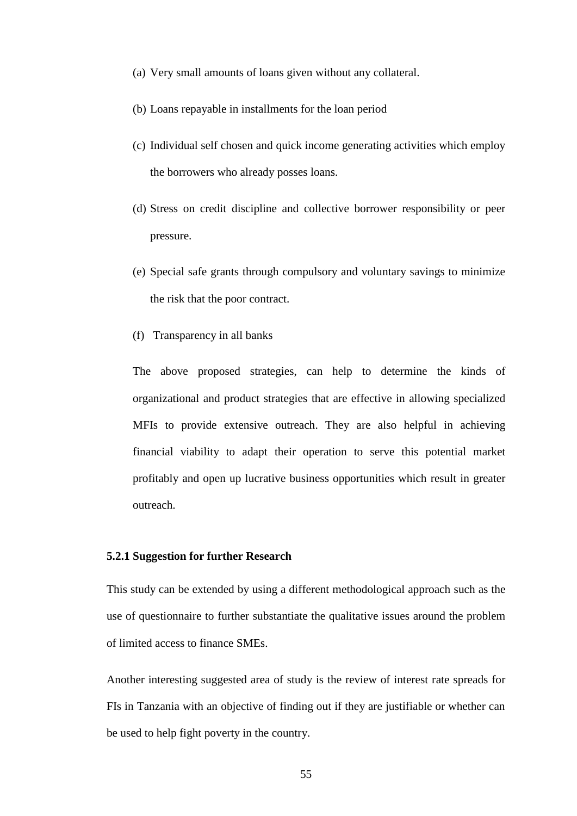- (a) Very small amounts of loans given without any collateral.
- (b) Loans repayable in installments for the loan period
- (c) Individual self chosen and quick income generating activities which employ the borrowers who already posses loans.
- (d) Stress on credit discipline and collective borrower responsibility or peer pressure.
- (e) Special safe grants through compulsory and voluntary savings to minimize the risk that the poor contract.
- (f) Transparency in all banks

The above proposed strategies, can help to determine the kinds of organizational and product strategies that are effective in allowing specialized MFIs to provide extensive outreach. They are also helpful in achieving financial viability to adapt their operation to serve this potential market profitably and open up lucrative business opportunities which result in greater outreach.

# **5.2.1 Suggestion for further Research**

This study can be extended by using a different methodological approach such as the use of questionnaire to further substantiate the qualitative issues around the problem of limited access to finance SMEs.

Another interesting suggested area of study is the review of interest rate spreads for FIs in Tanzania with an objective of finding out if they are justifiable or whether can be used to help fight poverty in the country.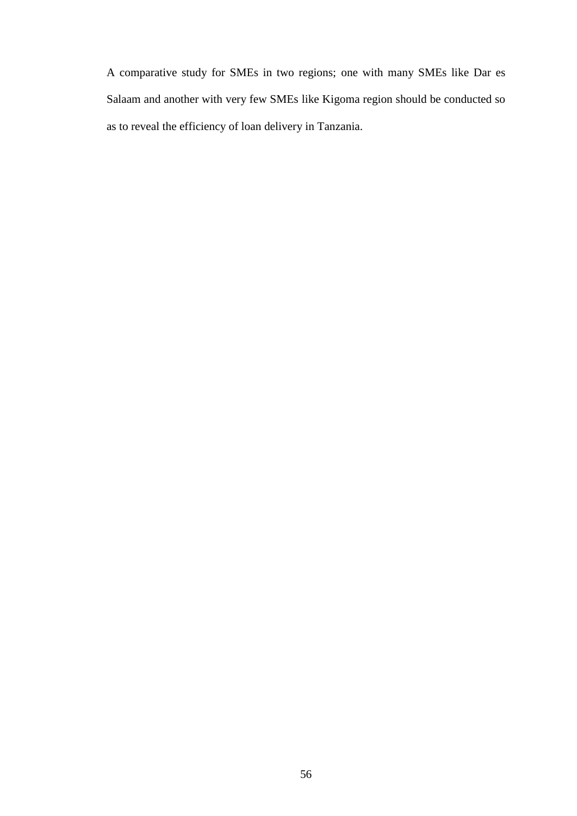A comparative study for SMEs in two regions; one with many SMEs like Dar es Salaam and another with very few SMEs like Kigoma region should be conducted so as to reveal the efficiency of loan delivery in Tanzania.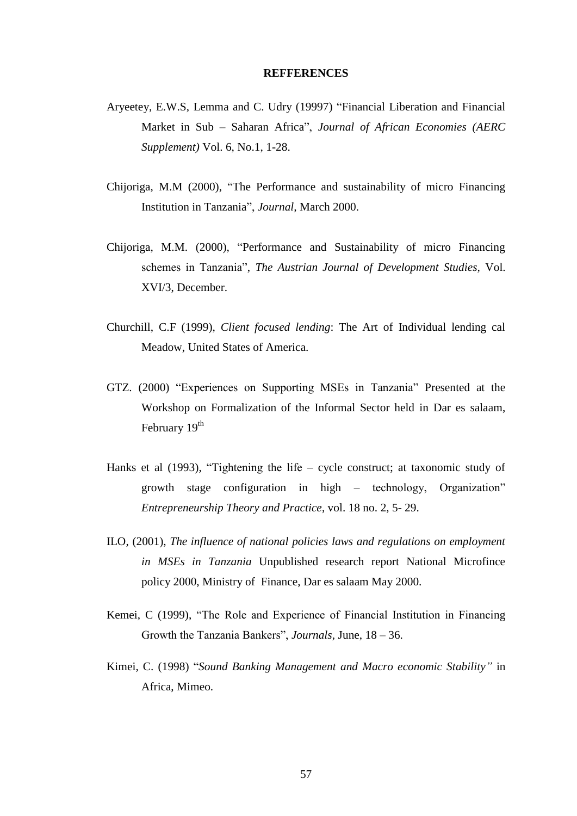#### **REFFERENCES**

- Aryeetey, E.W.S, Lemma and C. Udry (19997) "Financial Liberation and Financial Market in Sub – Saharan Africa", *Journal of African Economies (AERC Supplement)* Vol. 6, No.1, 1-28.
- Chijoriga, M.M (2000), "The Performance and sustainability of micro Financing Institution in Tanzania", *Journal,* March 2000.
- Chijoriga, M.M. (2000), "Performance and Sustainability of micro Financing schemes in Tanzania", *The Austrian Journal of Development Studies,* Vol. XVI/3, December.
- Churchill, C.F (1999), *Client focused lending*: The Art of Individual lending cal Meadow, United States of America.
- GTZ. (2000) "Experiences on Supporting MSEs in Tanzania" Presented at the Workshop on Formalization of the Informal Sector held in Dar es salaam, February 19<sup>th</sup>
- Hanks et al (1993), "Tightening the life cycle construct; at taxonomic study of growth stage configuration in high – technology, Organization" *Entrepreneurship Theory and Practice*, vol. 18 no. 2, 5- 29.
- ILO, (2001), *The influence of national policies laws and regulations on employment in MSEs in Tanzania* Unpublished research report National Microfince policy 2000, Ministry of Finance, Dar es salaam May 2000.
- Kemei, C (1999), "The Role and Experience of Financial Institution in Financing Growth the Tanzania Bankers", *Journals,* June, 18 – 36.
- Kimei, C. (1998) "*Sound Banking Management and Macro economic Stability"* in Africa, Mimeo.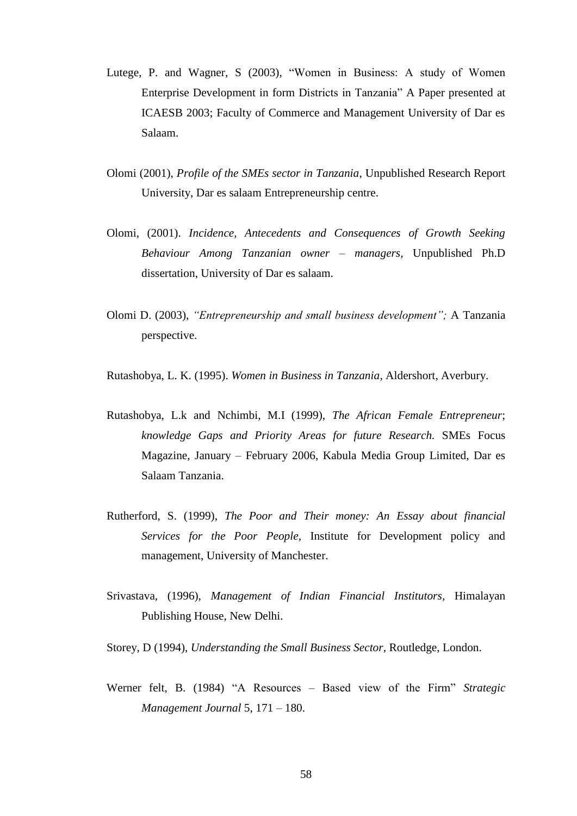- Lutege, P. and Wagner, S (2003), "Women in Business: A study of Women Enterprise Development in form Districts in Tanzania" A Paper presented at ICAESB 2003; Faculty of Commerce and Management University of Dar es Salaam.
- Olomi (2001), *Profile of the SMEs sector in Tanzania*, Unpublished Research Report University, Dar es salaam Entrepreneurship centre.
- Olomi, (2001). *Incidence, Antecedents and Consequences of Growth Seeking Behaviour Among Tanzanian owner – managers,* Unpublished Ph.D dissertation, University of Dar es salaam.
- Olomi D. (2003), *"Entrepreneurship and small business development";* A Tanzania perspective.

Rutashobya, L. K. (1995). *Women in Business in Tanzania,* Aldershort, Averbury.

- Rutashobya, L.k and Nchimbi, M.I (1999), *The African Female Entrepreneur*; *knowledge Gaps and Priority Areas for future Research.* SMEs Focus Magazine, January – February 2006, Kabula Media Group Limited, Dar es Salaam Tanzania.
- Rutherford, S. (1999), *The Poor and Their money: An Essay about financial Services for the Poor People,* Institute for Development policy and management, University of Manchester.
- Srivastava, (1996), *Management of Indian Financial Institutors,* Himalayan Publishing House, New Delhi.

Storey, D (1994), *Understanding the Small Business Sector,* Routledge, London.

Werner felt, B. (1984) "A Resources – Based view of the Firm" *Strategic Management Journal* 5, 171 – 180.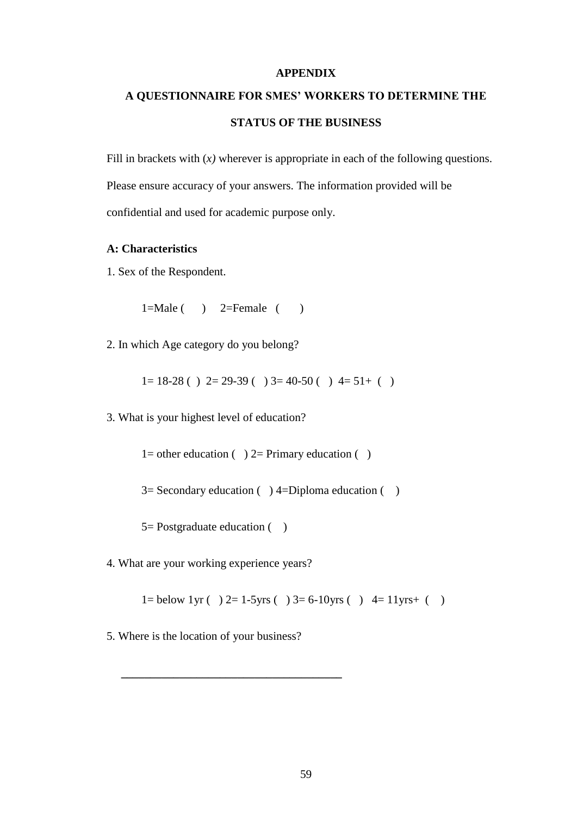# **APPENDIX**

# **A QUESTIONNAIRE FOR SMES' WORKERS TO DETERMINE THE STATUS OF THE BUSINESS**

Fill in brackets with (*x*) wherever is appropriate in each of the following questions. Please ensure accuracy of your answers. The information provided will be confidential and used for academic purpose only.

# **A: Characteristics**

1. Sex of the Respondent.

 $1=Male$  ( )  $2=Female$  ( )

2. In which Age category do you belong?

 $1= 18-28$  ( )  $2= 29-39$  ( )  $3= 40-50$  ( )  $4= 51+$  ( )

3. What is your highest level of education?

1= other education  $( ) 2=$  Primary education  $( )$ 

 $3=$  Secondary education ( ) 4=Diploma education ( )

 $5=$  Postgraduate education  $($ )

4. What are your working experience years?

1= below 1yr ( ) 2= 1-5yrs ( ) 3= 6-10yrs ( ) 4= 11yrs+ ( )

5. Where is the location of your business?

 **\_\_\_\_\_\_\_\_\_\_\_\_\_\_\_\_\_\_\_\_\_\_\_\_\_\_\_\_\_\_\_\_\_\_\_\_\_\_**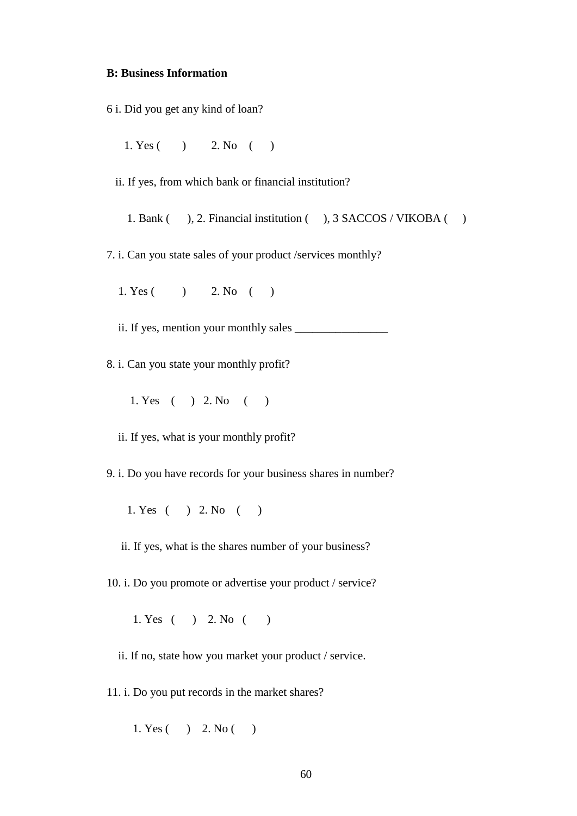# **B: Business Information**

- 6 i. Did you get any kind of loan?
	- 1. Yes ( ) 2. No ( )
	- ii. If yes, from which bank or financial institution?
		- 1. Bank ( ), 2. Financial institution ( ), 3 SACCOS / VIKOBA ( )
- 7. i. Can you state sales of your product /services monthly?
	- 1. Yes ( ) 2. No ( )
	- ii. If yes, mention your monthly sales
- 8. i. Can you state your monthly profit?
	- 1. Yes ( ) 2. No ( )
	- ii. If yes, what is your monthly profit?
- 9. i. Do you have records for your business shares in number?
	- 1. Yes ( ) 2. No ( )
	- ii. If yes, what is the shares number of your business?

10. i. Do you promote or advertise your product / service?

1. Yes ( ) 2. No ( )

ii. If no, state how you market your product / service.

11. i. Do you put records in the market shares?

1. Yes ( ) 2. No ( )